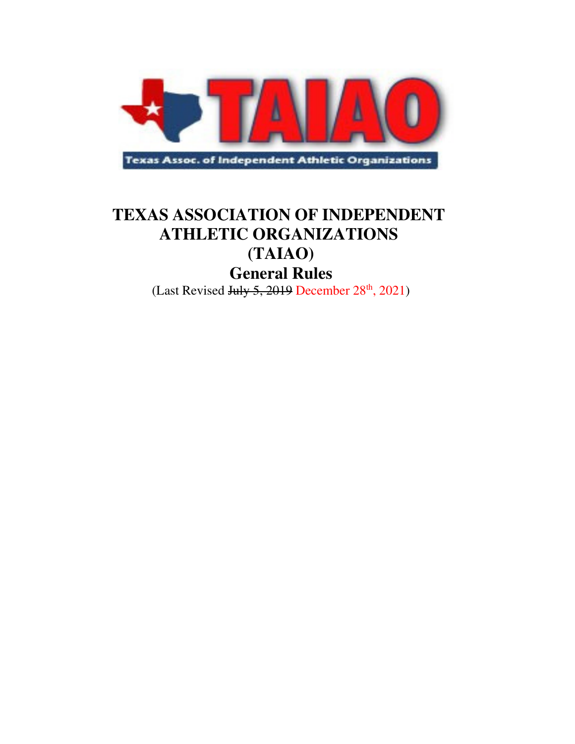

## **TEXAS ASSOCIATION OF INDEPENDENT ATHLETIC ORGANIZATIONS**

# **(TAIAO)**

# **General Rules**

(Last Revised July 5, 2019 December  $28<sup>th</sup>$ , 2021)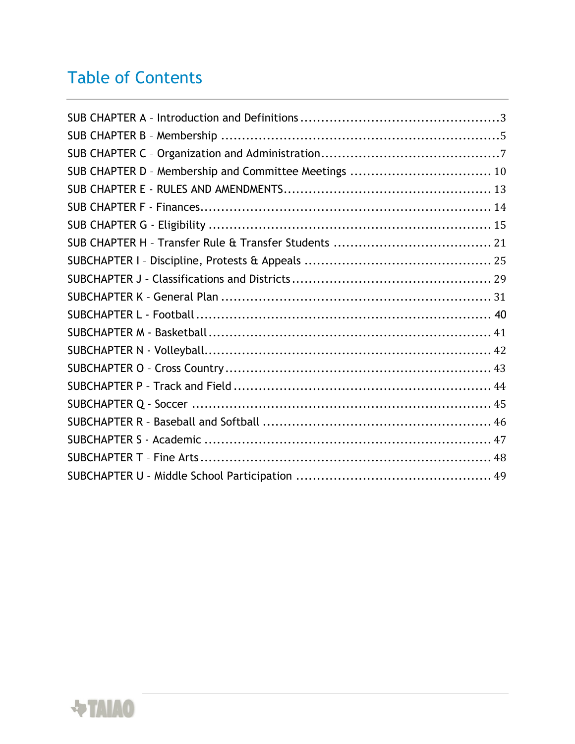# Table of Contents

| SUB CHAPTER D - Membership and Committee Meetings  10 |  |
|-------------------------------------------------------|--|
|                                                       |  |
|                                                       |  |
|                                                       |  |
|                                                       |  |
|                                                       |  |
|                                                       |  |
|                                                       |  |
|                                                       |  |
|                                                       |  |
|                                                       |  |
|                                                       |  |
|                                                       |  |
|                                                       |  |
|                                                       |  |
|                                                       |  |
|                                                       |  |
|                                                       |  |
|                                                       |  |

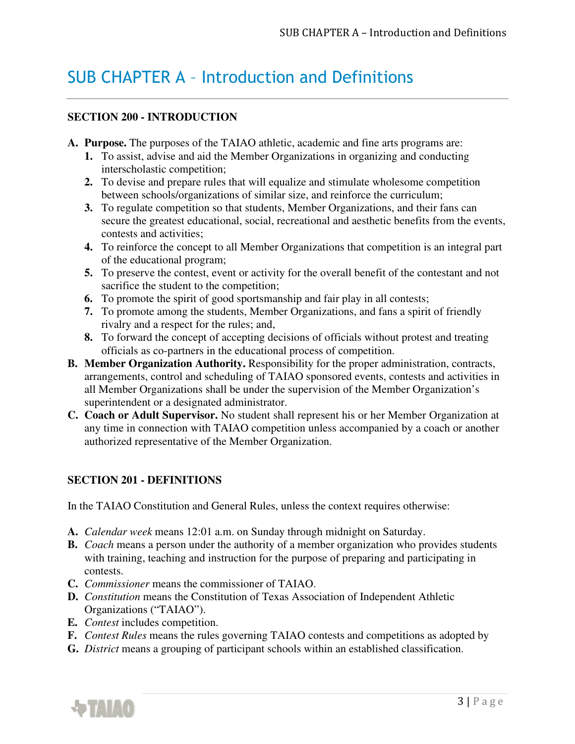## SUB CHAPTER A – Introduction and Definitions

### **SECTION 200 - INTRODUCTION**

- **A. Purpose.** The purposes of the TAIAO athletic, academic and fine arts programs are:
	- **1.** To assist, advise and aid the Member Organizations in organizing and conducting interscholastic competition;
	- **2.** To devise and prepare rules that will equalize and stimulate wholesome competition between schools/organizations of similar size, and reinforce the curriculum;
	- **3.** To regulate competition so that students, Member Organizations, and their fans can secure the greatest educational, social, recreational and aesthetic benefits from the events, contests and activities;
	- **4.** To reinforce the concept to all Member Organizations that competition is an integral part of the educational program;
	- **5.** To preserve the contest, event or activity for the overall benefit of the contestant and not sacrifice the student to the competition;
	- **6.** To promote the spirit of good sportsmanship and fair play in all contests;
	- **7.** To promote among the students, Member Organizations, and fans a spirit of friendly rivalry and a respect for the rules; and,
	- **8.** To forward the concept of accepting decisions of officials without protest and treating officials as co-partners in the educational process of competition.
- **B. Member Organization Authority.** Responsibility for the proper administration, contracts, arrangements, control and scheduling of TAIAO sponsored events, contests and activities in all Member Organizations shall be under the supervision of the Member Organization's superintendent or a designated administrator.
- **C. Coach or Adult Supervisor.** No student shall represent his or her Member Organization at any time in connection with TAIAO competition unless accompanied by a coach or another authorized representative of the Member Organization.

### **SECTION 201 - DEFINITIONS**

In the TAIAO Constitution and General Rules, unless the context requires otherwise:

- **A.** *Calendar week* means 12:01 a.m. on Sunday through midnight on Saturday.
- **B.** *Coach* means a person under the authority of a member organization who provides students with training, teaching and instruction for the purpose of preparing and participating in contests.
- **C.** *Commissioner* means the commissioner of TAIAO.
- **D.** *Constitution* means the Constitution of Texas Association of Independent Athletic Organizations ("TAIAO").
- **E.** *Contest* includes competition.
- **F.** *Contest Rules* means the rules governing TAIAO contests and competitions as adopted by
- **G.** *District* means a grouping of participant schools within an established classification.

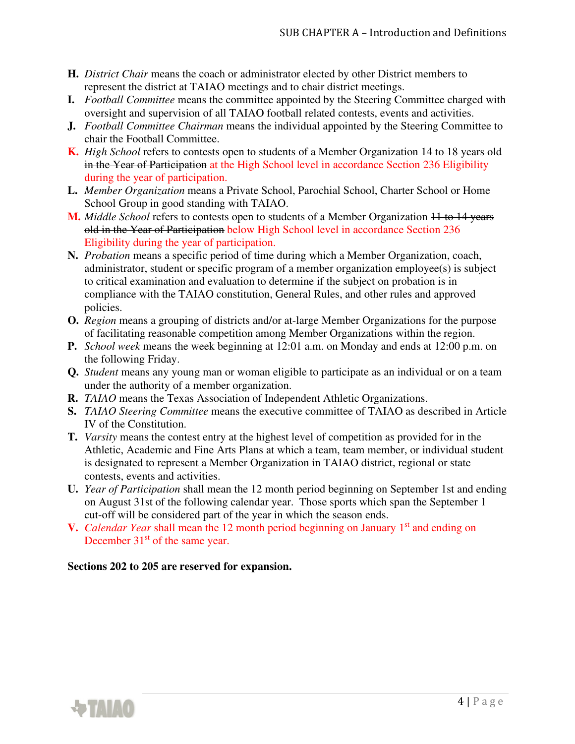- **H.** *District Chair* means the coach or administrator elected by other District members to represent the district at TAIAO meetings and to chair district meetings.
- **I.** *Football Committee* means the committee appointed by the Steering Committee charged with oversight and supervision of all TAIAO football related contests, events and activities.
- **J.** *Football Committee Chairman* means the individual appointed by the Steering Committee to chair the Football Committee.
- **K.** *High School* refers to contests open to students of a Member Organization 14 to 18 years old in the Year of Participation at the High School level in accordance Section 236 Eligibility during the year of participation.
- **L.** *Member Organization* means a Private School, Parochial School, Charter School or Home School Group in good standing with TAIAO.
- **M.** *Middle School* refers to contests open to students of a Member Organization 11 to 14 years old in the Year of Participation below High School level in accordance Section 236 Eligibility during the year of participation.
- **N.** *Probation* means a specific period of time during which a Member Organization, coach, administrator, student or specific program of a member organization employee(s) is subject to critical examination and evaluation to determine if the subject on probation is in compliance with the TAIAO constitution, General Rules, and other rules and approved policies.
- **O.** *Region* means a grouping of districts and/or at-large Member Organizations for the purpose of facilitating reasonable competition among Member Organizations within the region.
- **P.** *School week* means the week beginning at 12:01 a.m. on Monday and ends at 12:00 p.m. on the following Friday.
- **Q.** *Student* means any young man or woman eligible to participate as an individual or on a team under the authority of a member organization.
- **R.** *TAIAO* means the Texas Association of Independent Athletic Organizations.
- **S.** *TAIAO Steering Committee* means the executive committee of TAIAO as described in Article IV of the Constitution.
- **T.** *Varsity* means the contest entry at the highest level of competition as provided for in the Athletic, Academic and Fine Arts Plans at which a team, team member, or individual student is designated to represent a Member Organization in TAIAO district, regional or state contests, events and activities.
- **U.** *Year of Participation* shall mean the 12 month period beginning on September 1st and ending on August 31st of the following calendar year. Those sports which span the September 1 cut-off will be considered part of the year in which the season ends.
- **V.** *Calendar Year* shall mean the 12 month period beginning on January 1<sup>st</sup> and ending on December 31<sup>st</sup> of the same year.

#### **Sections 202 to 205 are reserved for expansion.**

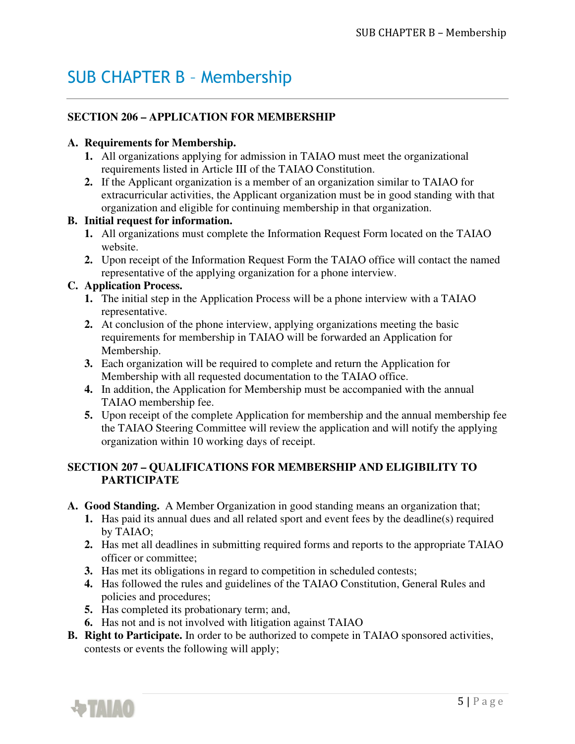## SUB CHAPTER B – Membership

## **SECTION 206 – APPLICATION FOR MEMBERSHIP**

#### **A. Requirements for Membership.**

- **1.** All organizations applying for admission in TAIAO must meet the organizational requirements listed in Article III of the TAIAO Constitution.
- **2.** If the Applicant organization is a member of an organization similar to TAIAO for extracurricular activities, the Applicant organization must be in good standing with that organization and eligible for continuing membership in that organization.

### **B. Initial request for information.**

- **1.** All organizations must complete the Information Request Form located on the TAIAO website.
- **2.** Upon receipt of the Information Request Form the TAIAO office will contact the named representative of the applying organization for a phone interview.

### **C. Application Process.**

- **1.** The initial step in the Application Process will be a phone interview with a TAIAO representative.
- **2.** At conclusion of the phone interview, applying organizations meeting the basic requirements for membership in TAIAO will be forwarded an Application for Membership.
- **3.** Each organization will be required to complete and return the Application for Membership with all requested documentation to the TAIAO office.
- **4.** In addition, the Application for Membership must be accompanied with the annual TAIAO membership fee.
- **5.** Upon receipt of the complete Application for membership and the annual membership fee the TAIAO Steering Committee will review the application and will notify the applying organization within 10 working days of receipt.

## **SECTION 207 – QUALIFICATIONS FOR MEMBERSHIP AND ELIGIBILITY TO PARTICIPATE**

- **A. Good Standing.** A Member Organization in good standing means an organization that;
	- **1.** Has paid its annual dues and all related sport and event fees by the deadline(s) required by TAIAO;
	- **2.** Has met all deadlines in submitting required forms and reports to the appropriate TAIAO officer or committee;
	- **3.** Has met its obligations in regard to competition in scheduled contests;
	- **4.** Has followed the rules and guidelines of the TAIAO Constitution, General Rules and policies and procedures;
	- **5.** Has completed its probationary term; and,
	- **6.** Has not and is not involved with litigation against TAIAO
- **B. Right to Participate.** In order to be authorized to compete in TAIAO sponsored activities, contests or events the following will apply;

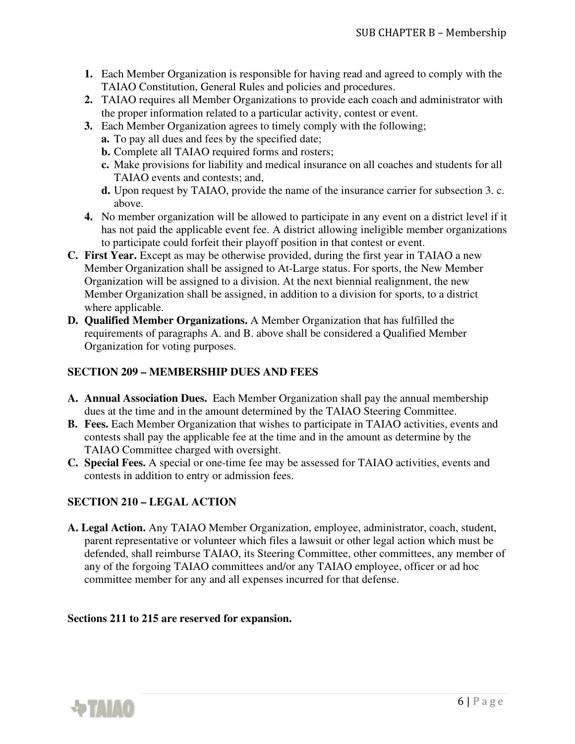- **1.** Each Member Organization is responsible for having read and agreed to comply with the TAIAO Constitution, General Rules and policies and procedures.
- **2.** TAIAO requires all Member Organizations to provide each coach and administrator with the proper information related to a particular activity, contest or event.
- **3.** Each Member Organization agrees to timely comply with the following;
	- **a.** To pay all dues and fees by the specified date;
	- **b.** Complete all TAIAO required forms and rosters;
	- **c.** Make provisions for liability and medical insurance on all coaches and students for all TAIAO events and contests; and,
	- **d.** Upon request by TAIAO, provide the name of the insurance carrier for subsection 3. c. above.
- **4.** No member organization will be allowed to participate in any event on a district level if it has not paid the applicable event fee. A district allowing ineligible member organizations to participate could forfeit their playoff position in that contest or event.
- **C. First Year.** Except as may be otherwise provided, during the first year in TAIAO a new Member Organization shall be assigned to At-Large status. For sports, the New Member Organization will be assigned to a division. At the next biennial realignment, the new Member Organization shall be assigned, in addition to a division for sports, to a district where applicable.
- **D. Qualified Member Organizations.** A Member Organization that has fulfilled the requirements of paragraphs A. and B. above shall be considered a Qualified Member Organization for voting purposes.

## **SECTION 209 – MEMBERSHIP DUES AND FEES**

- **A. Annual Association Dues.** Each Member Organization shall pay the annual membership dues at the time and in the amount determined by the TAIAO Steering Committee.
- **B. Fees.** Each Member Organization that wishes to participate in TAIAO activities, events and contests shall pay the applicable fee at the time and in the amount as determine by the TAIAO Committee charged with oversight.
- **C. Special Fees.** A special or one-time fee may be assessed for TAIAO activities, events and contests in addition to entry or admission fees.

### **SECTION 210 – LEGAL ACTION**

**A. Legal Action.** Any TAIAO Member Organization, employee, administrator, coach, student, parent representative or volunteer which files a lawsuit or other legal action which must be defended, shall reimburse TAIAO, its Steering Committee, other committees, any member of any of the forgoing TAIAO committees and/or any TAIAO employee, officer or ad hoc committee member for any and all expenses incurred for that defense.

#### **Sections 211 to 215 are reserved for expansion.**

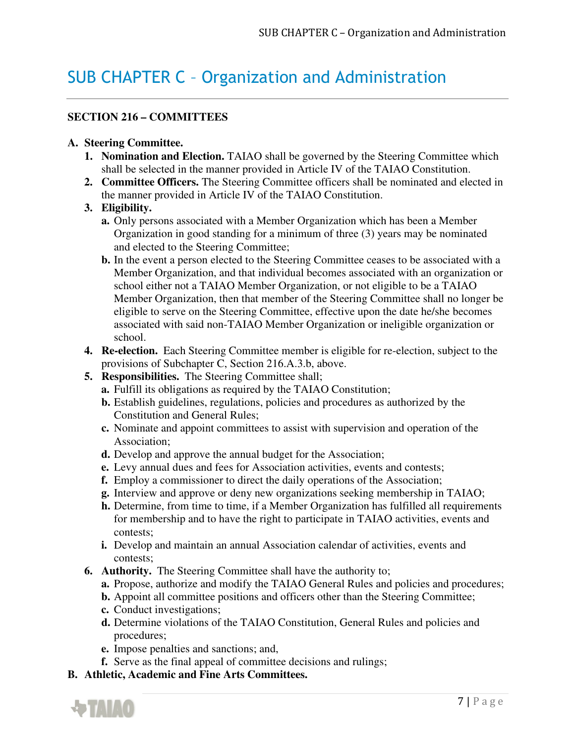## SUB CHAPTER C – Organization and Administration

### **SECTION 216 – COMMITTEES**

#### **A. Steering Committee.**

- **1. Nomination and Election.** TAIAO shall be governed by the Steering Committee which shall be selected in the manner provided in Article IV of the TAIAO Constitution.
- **2. Committee Officers.** The Steering Committee officers shall be nominated and elected in the manner provided in Article IV of the TAIAO Constitution.

### **3. Eligibility.**

- **a.** Only persons associated with a Member Organization which has been a Member Organization in good standing for a minimum of three (3) years may be nominated and elected to the Steering Committee;
- **b.** In the event a person elected to the Steering Committee ceases to be associated with a Member Organization, and that individual becomes associated with an organization or school either not a TAIAO Member Organization, or not eligible to be a TAIAO Member Organization, then that member of the Steering Committee shall no longer be eligible to serve on the Steering Committee, effective upon the date he/she becomes associated with said non-TAIAO Member Organization or ineligible organization or school.
- **4. Re-election.** Each Steering Committee member is eligible for re-election, subject to the provisions of Subchapter C, Section 216.A.3.b, above.
- **5. Responsibilities.** The Steering Committee shall;
	- **a.** Fulfill its obligations as required by the TAIAO Constitution;
	- **b.** Establish guidelines, regulations, policies and procedures as authorized by the Constitution and General Rules;
	- **c.** Nominate and appoint committees to assist with supervision and operation of the Association;
	- **d.** Develop and approve the annual budget for the Association;
	- **e.** Levy annual dues and fees for Association activities, events and contests;
	- **f.** Employ a commissioner to direct the daily operations of the Association;
	- **g.** Interview and approve or deny new organizations seeking membership in TAIAO;
	- **h.** Determine, from time to time, if a Member Organization has fulfilled all requirements for membership and to have the right to participate in TAIAO activities, events and contests;
	- **i.** Develop and maintain an annual Association calendar of activities, events and contests;
- **6. Authority.** The Steering Committee shall have the authority to;
	- **a.** Propose, authorize and modify the TAIAO General Rules and policies and procedures;
	- **b.** Appoint all committee positions and officers other than the Steering Committee;
	- **c.** Conduct investigations;
	- **d.** Determine violations of the TAIAO Constitution, General Rules and policies and procedures;
	- **e.** Impose penalties and sanctions; and,
	- **f.** Serve as the final appeal of committee decisions and rulings;
- **B. Athletic, Academic and Fine Arts Committees.**

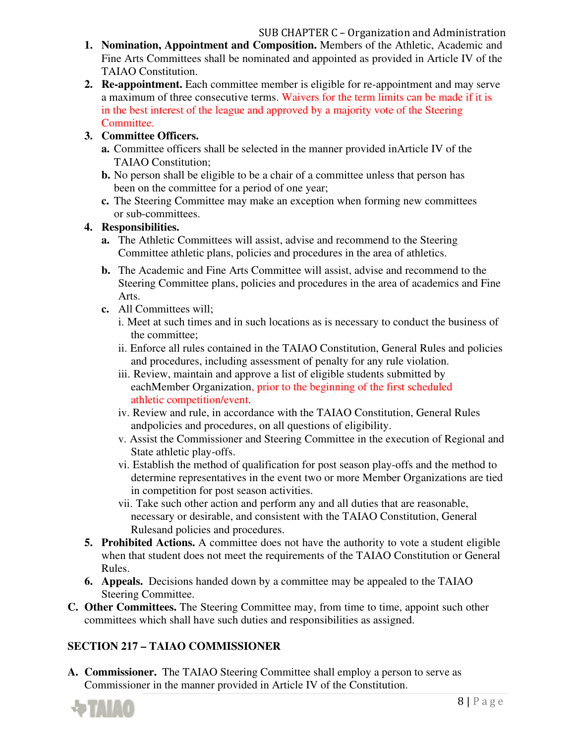- **1. Nomination, Appointment and Composition.** Members of the Athletic, Academic and Fine Arts Committees shall be nominated and appointed as provided in Article IV of the TAIAO Constitution.
- **2. Re-appointment.** Each committee member is eligible for re-appointment and may serve a maximum of three consecutive terms. Waivers for the term limits can be made if it is in the best interest of the league and approved by a majority vote of the Steering Committee.

### **3. Committee Officers.**

- **a.** Committee officers shall be selected in the manner provided in Article IV of the TAIAO Constitution;
- **b.** No person shall be eligible to be a chair of a committee unless that person has been on the committee for a period of one year;
- **c.** The Steering Committee may make an exception when forming new committees or sub-committees.

### **4. Responsibilities.**

- **a.** The Athletic Committees will assist, advise and recommend to the Steering Committee athletic plans, policies and procedures in the area of athletics.
- **b.** The Academic and Fine Arts Committee will assist, advise and recommend to the Steering Committee plans, policies and procedures in the area of academics and Fine Arts.
- **c.** All Committees will;
	- i. Meet at such times and in such locations as is necessary to conduct the business of the committee;
	- ii. Enforce all rules contained in the TAIAO Constitution, General Rules and policies and procedures, including assessment of penalty for any rule violation.
	- iii. Review, maintain and approve a list of eligible students submitted by each Member Organization, prior to the beginning of the first scheduled athletic competition/event.
	- iv. Review and rule, in accordance with the TAIAO Constitution, General Rules and policies and procedures, on all questions of eligibility.
	- v. Assist the Commissioner and Steering Committee in the execution of Regional and State athletic play-offs.
	- vi. Establish the method of qualification for post season play-offs and the method to determine representatives in the event two or more Member Organizations are tied in competition for post season activities.
	- vii. Take such other action and perform any and all duties that are reasonable, necessary or desirable, and consistent with the TAIAO Constitution, General Rules and policies and procedures.
- **5. Prohibited Actions.** A committee does not have the authority to vote a student eligible when that student does not meet the requirements of the TAIAO Constitution or General Rules.
- **6. Appeals.** Decisions handed down by a committee may be appealed to the TAIAO Steering Committee.
- **C. Other Committees.** The Steering Committee may, from time to time, appoint such other committees which shall have such duties and responsibilities as assigned.

## **SECTION 217 – TAIAO COMMISSIONER**

**A. Commissioner.** The TAIAO Steering Committee shall employ a person to serve as Commissioner in the manner provided in Article IV of the Constitution.

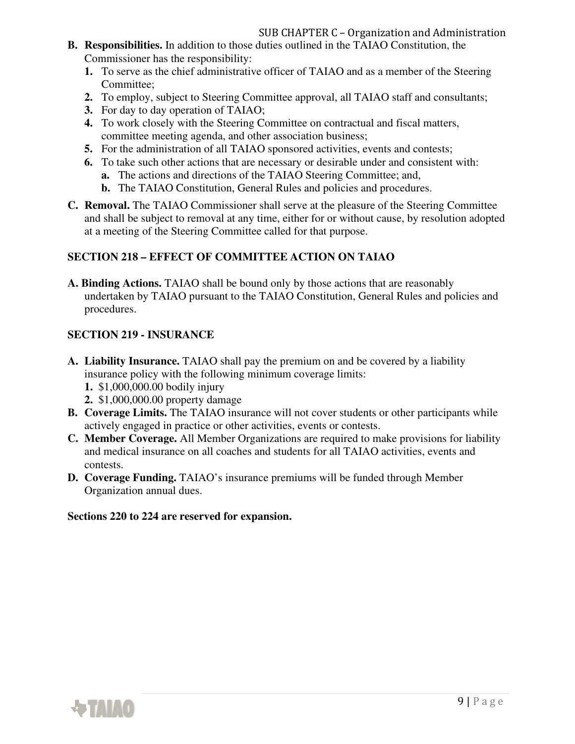- **B. Responsibilities.** In addition to those duties outlined in the TAIAO Constitution, the Commissioner has the responsibility:
	- **1.** To serve as the chief administrative officer of TAIAO and as a member of the Steering Committee;
	- **2.** To employ, subject to Steering Committee approval, all TAIAO staff and consultants;
	- **3.** For day to day operation of TAIAO;
	- **4.** To work closely with the Steering Committee on contractual and fiscal matters, committee meeting agenda, and other association business;
	- **5.** For the administration of all TAIAO sponsored activities, events and contests;
	- **6.** To take such other actions that are necessary or desirable under and consistent with:
		- **a.** The actions and directions of the TAIAO Steering Committee; and,
		- **b.** The TAIAO Constitution, General Rules and policies and procedures.
- **C. Removal.** The TAIAO Commissioner shall serve at the pleasure of the Steering Committee and shall be subject to removal at any time, either for or without cause, by resolution adopted at a meeting of the Steering Committee called for that purpose.

### **SECTION 218 – EFFECT OF COMMITTEE ACTION ON TAIAO**

**A. Binding Actions.** TAIAO shall be bound only by those actions that are reasonably undertaken by TAIAO pursuant to the TAIAO Constitution, General Rules and policies and procedures.

### **SECTION 219 - INSURANCE**

- **A. Liability Insurance.** TAIAO shall pay the premium on and be covered by a liability insurance policy with the following minimum coverage limits:
	- **1.** \$1,000,000.00 bodily injury
	- **2.** \$1,000,000.00 property damage
- **B. Coverage Limits.** The TAIAO insurance will not cover students or other participants while actively engaged in practice or other activities, events or contests.
- **C. Member Coverage.** All Member Organizations are required to make provisions for liability and medical insurance on all coaches and students for all TAIAO activities, events and contests.
- **D. Coverage Funding.** TAIAO's insurance premiums will be funded through Member Organization annual dues.

#### **Sections 220 to 224 are reserved for expansion.**

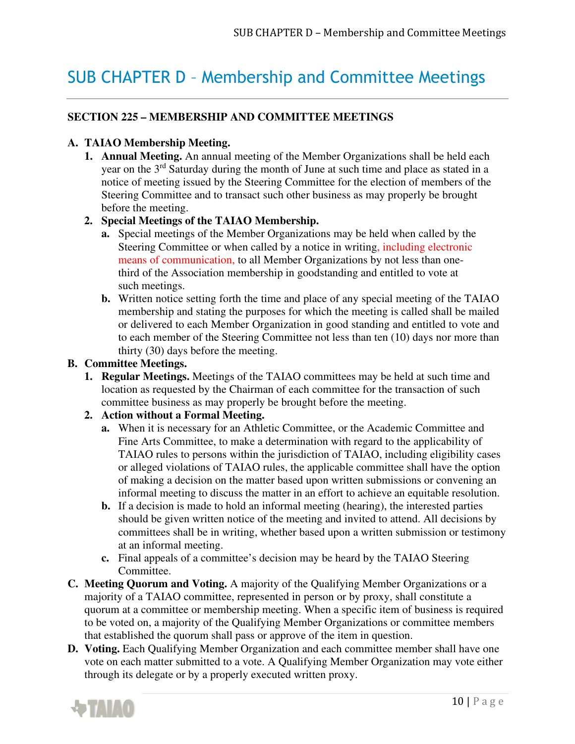## SUB CHAPTER D – Membership and Committee Meetings

## **SECTION 225 – MEMBERSHIP AND COMMITTEE MEETINGS**

### **A. TAIAO Membership Meeting.**

**1. Annual Meeting.** An annual meeting of the Member Organizations shall be held each year on the 3rd Saturday during the month of June at such time and place as stated in a notice of meeting issued by the Steering Committee for the election of members of the Steering Committee and to transact such other business as may properly be brought before the meeting.

### **2. Special Meetings of the TAIAO Membership.**

- **a.** Special meetings of the Member Organizations may be held when called by the Steering Committee or when called by a notice in writing, including electronic means of communication, to all Member Organizations by not less than onethird of the Association membership in goodstanding and entitled to vote at such meetings.
- **b.** Written notice setting forth the time and place of any special meeting of the TAIAO membership and stating the purposes for which the meeting is called shall be mailed or delivered to each Member Organization in good standing and entitled to vote and to each member of the Steering Committee not less than ten (10) days nor more than thirty (30) days before the meeting.

#### **B. Committee Meetings.**

**1. Regular Meetings.** Meetings of the TAIAO committees may be held at such time and location as requested by the Chairman of each committee for the transaction of such committee business as may properly be brought before the meeting.

### **2. Action without a Formal Meeting.**

- **a.** When it is necessary for an Athletic Committee, or the Academic Committee and Fine Arts Committee, to make a determination with regard to the applicability of TAIAO rules to persons within the jurisdiction of TAIAO, including eligibility cases or alleged violations of TAIAO rules, the applicable committee shall have the option of making a decision on the matter based upon written submissions or convening an informal meeting to discuss the matter in an effort to achieve an equitable resolution.
- **b.** If a decision is made to hold an informal meeting (hearing), the interested parties should be given written notice of the meeting and invited to attend. All decisions by committees shall be in writing, whether based upon a written submission or testimony at an informal meeting.
- **c.** Final appeals of a committee's decision may be heard by the TAIAO Steering Committee.
- **C. Meeting Quorum and Voting.** A majority of the Qualifying Member Organizations or a majority of a TAIAO committee, represented in person or by proxy, shall constitute a quorum at a committee or membership meeting. When a specific item of business is required to be voted on, a majority of the Qualifying Member Organizations or committee members that established the quorum shall pass or approve of the item in question.
- **D. Voting.** Each Qualifying Member Organization and each committee member shall have one vote on each matter submitted to a vote. A Qualifying Member Organization may vote either through its delegate or by a properly executed written proxy.

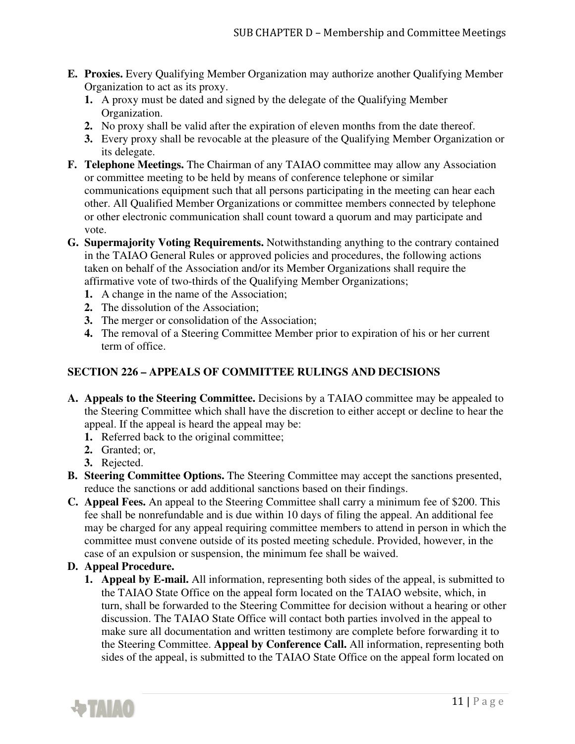- **E. Proxies.** Every Qualifying Member Organization may authorize another Qualifying Member Organization to act as its proxy.
	- **1.** A proxy must be dated and signed by the delegate of the Qualifying Member Organization.
	- **2.** No proxy shall be valid after the expiration of eleven months from the date thereof.
	- **3.** Every proxy shall be revocable at the pleasure of the Qualifying Member Organization or its delegate.
- **F. Telephone Meetings.** The Chairman of any TAIAO committee may allow any Association or committee meeting to be held by means of conference telephone or similar communications equipment such that all persons participating in the meeting can hear each other. All Qualified Member Organizations or committee members connected by telephone or other electronic communication shall count toward a quorum and may participate and vote.
- **G. Supermajority Voting Requirements.** Notwithstanding anything to the contrary contained in the TAIAO General Rules or approved policies and procedures, the following actions taken on behalf of the Association and/or its Member Organizations shall require the affirmative vote of two-thirds of the Qualifying Member Organizations;
	- **1.** A change in the name of the Association;
	- **2.** The dissolution of the Association;
	- **3.** The merger or consolidation of the Association;
	- **4.** The removal of a Steering Committee Member prior to expiration of his or her current term of office.

### **SECTION 226 – APPEALS OF COMMITTEE RULINGS AND DECISIONS**

- **A. Appeals to the Steering Committee.** Decisions by a TAIAO committee may be appealed to the Steering Committee which shall have the discretion to either accept or decline to hear the appeal. If the appeal is heard the appeal may be:
	- **1.** Referred back to the original committee;
	- **2.** Granted; or,
	- **3.** Rejected.
- **B. Steering Committee Options.** The Steering Committee may accept the sanctions presented, reduce the sanctions or add additional sanctions based on their findings.
- **C. Appeal Fees.** An appeal to the Steering Committee shall carry a minimum fee of \$200. This fee shall be nonrefundable and is due within 10 days of filing the appeal. An additional fee may be charged for any appeal requiring committee members to attend in person in which the committee must convene outside of its posted meeting schedule. Provided, however, in the case of an expulsion or suspension, the minimum fee shall be waived.

#### **D. Appeal Procedure.**

**1. Appeal by E-mail.** All information, representing both sides of the appeal, is submitted to the TAIAO State Office on the appeal form located on the TAIAO website, which, in turn, shall be forwarded to the Steering Committee for decision without a hearing or other discussion. The TAIAO State Office will contact both parties involved in the appeal to make sure all documentation and written testimony are complete before forwarding it to the Steering Committee. **Appeal by Conference Call.** All information, representing both sides of the appeal, is submitted to the TAIAO State Office on the appeal form located on

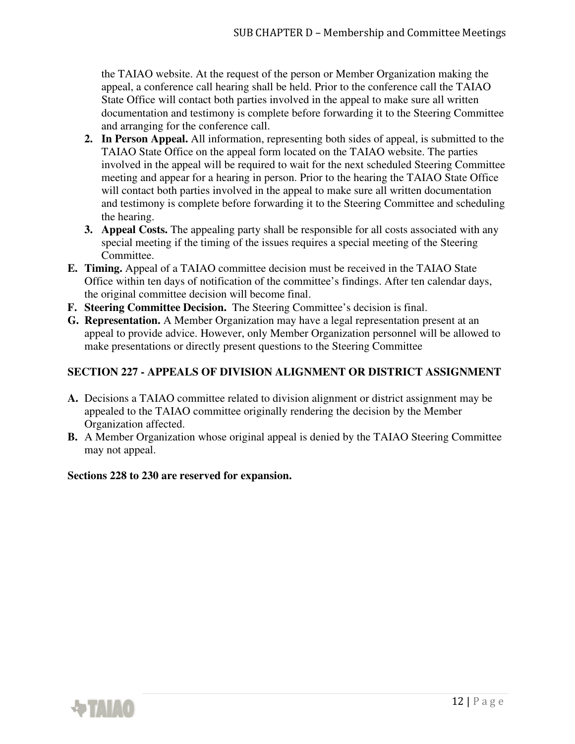the TAIAO website. At the request of the person or Member Organization making the appeal, a conference call hearing shall be held. Prior to the conference call the TAIAO State Office will contact both parties involved in the appeal to make sure all written documentation and testimony is complete before forwarding it to the Steering Committee and arranging for the conference call.

- **2. In Person Appeal.** All information, representing both sides of appeal, is submitted to the TAIAO State Office on the appeal form located on the TAIAO website. The parties involved in the appeal will be required to wait for the next scheduled Steering Committee meeting and appear for a hearing in person. Prior to the hearing the TAIAO State Office will contact both parties involved in the appeal to make sure all written documentation and testimony is complete before forwarding it to the Steering Committee and scheduling the hearing.
- **3. Appeal Costs.** The appealing party shall be responsible for all costs associated with any special meeting if the timing of the issues requires a special meeting of the Steering Committee.
- **E. Timing.** Appeal of a TAIAO committee decision must be received in the TAIAO State Office within ten days of notification of the committee's findings. After ten calendar days, the original committee decision will become final.
- **F. Steering Committee Decision.** The Steering Committee's decision is final.
- **G. Representation.** A Member Organization may have a legal representation present at an appeal to provide advice. However, only Member Organization personnel will be allowed to make presentations or directly present questions to the Steering Committee

## **SECTION 227 - APPEALS OF DIVISION ALIGNMENT OR DISTRICT ASSIGNMENT**

- **A.** Decisions a TAIAO committee related to division alignment or district assignment may be appealed to the TAIAO committee originally rendering the decision by the Member Organization affected.
- **B.** A Member Organization whose original appeal is denied by the TAIAO Steering Committee may not appeal.

#### **Sections 228 to 230 are reserved for expansion.**

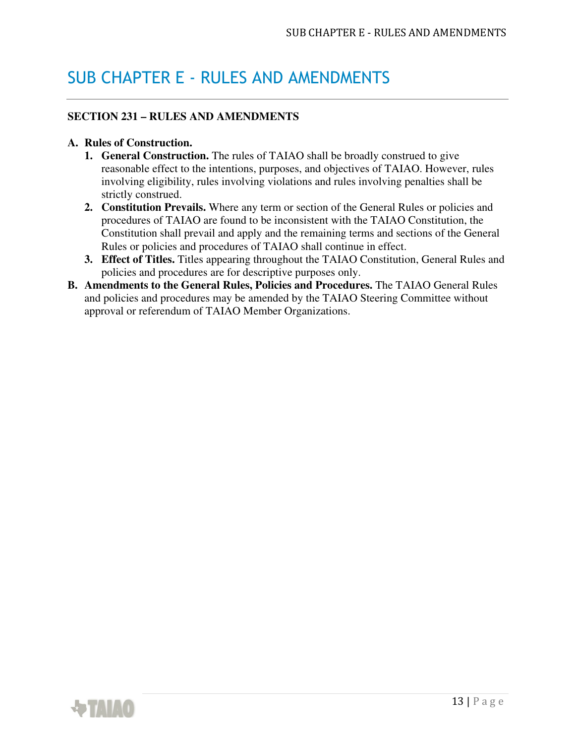## SUB CHAPTER E - RULES AND AMENDMENTS

### **SECTION 231 – RULES AND AMENDMENTS**

#### **A. Rules of Construction.**

- **1. General Construction.** The rules of TAIAO shall be broadly construed to give reasonable effect to the intentions, purposes, and objectives of TAIAO. However, rules involving eligibility, rules involving violations and rules involving penalties shall be strictly construed.
- **2. Constitution Prevails.** Where any term or section of the General Rules or policies and procedures of TAIAO are found to be inconsistent with the TAIAO Constitution, the Constitution shall prevail and apply and the remaining terms and sections of the General Rules or policies and procedures of TAIAO shall continue in effect.
- **3. Effect of Titles.** Titles appearing throughout the TAIAO Constitution, General Rules and policies and procedures are for descriptive purposes only.
- **B. Amendments to the General Rules, Policies and Procedures.** The TAIAO General Rules and policies and procedures may be amended by the TAIAO Steering Committee without approval or referendum of TAIAO Member Organizations.

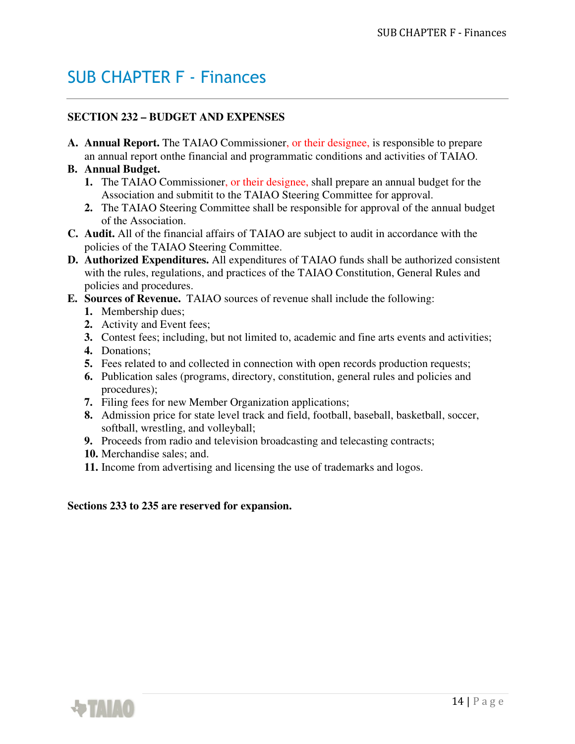## SUB CHAPTER F - Finances

### **SECTION 232 – BUDGET AND EXPENSES**

**A. Annual Report.** The TAIAO Commissioner, or their designee, is responsible to prepare an annual report on the financial and programmatic conditions and activities of TAIAO.

### **B. Annual Budget.**

- **1.** The TAIAO Commissioner, or their designee, shall prepare an annual budget for the Association and submitit to the TAIAO Steering Committee for approval.
- **2.** The TAIAO Steering Committee shall be responsible for approval of the annual budget of the Association.
- **C. Audit.** All of the financial affairs of TAIAO are subject to audit in accordance with the policies of the TAIAO Steering Committee.
- **D. Authorized Expenditures.** All expenditures of TAIAO funds shall be authorized consistent with the rules, regulations, and practices of the TAIAO Constitution, General Rules and policies and procedures.
- **E. Sources of Revenue.** TAIAO sources of revenue shall include the following:
	- **1.** Membership dues;
	- **2.** Activity and Event fees;
	- **3.** Contest fees; including, but not limited to, academic and fine arts events and activities;
	- **4.** Donations;
	- **5.** Fees related to and collected in connection with open records production requests;
	- **6.** Publication sales (programs, directory, constitution, general rules and policies and procedures);
	- **7.** Filing fees for new Member Organization applications;
	- **8.** Admission price for state level track and field, football, baseball, basketball, soccer, softball, wrestling, and volleyball;
	- **9.** Proceeds from radio and television broadcasting and telecasting contracts;
	- **10.** Merchandise sales; and.
	- **11.** Income from advertising and licensing the use of trademarks and logos.

#### **Sections 233 to 235 are reserved for expansion.**

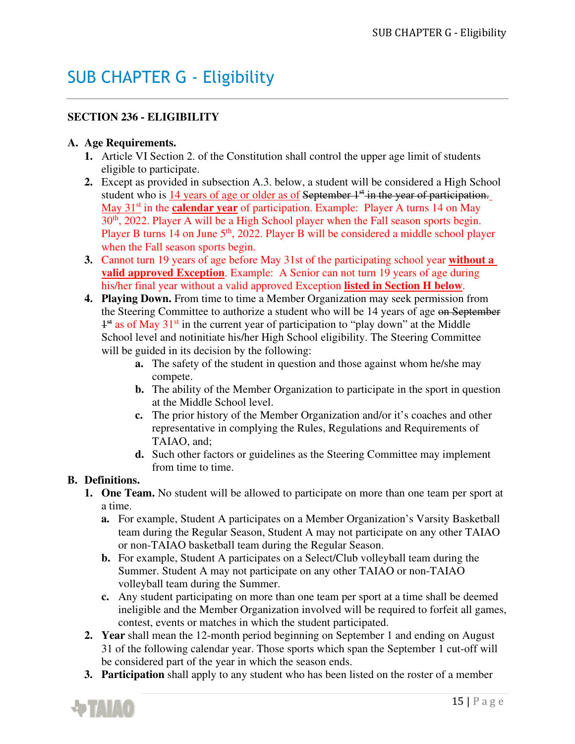## SUB CHAPTER G - Eligibility

## **SECTION 236 - ELIGIBILITY**

### **A. Age Requirements.**

- **1.** Article VI Section 2. of the Constitution shall control the upper age limit of students eligible to participate.
- **2.** Except as provided in subsection A.3. below, a student will be considered a High School student who is 14 years of age or older as of September 1<sup>st</sup> in the year of participation. May 31<sup>st</sup> in the **calendar year** of participation. Example: Player A turns 14 on May 30<sup>th</sup>, 2022. Player A will be a High School player when the Fall season sports begin. Player B turns 14 on June 5<sup>th</sup>, 2022. Player B will be considered a middle school player when the Fall season sports begin.
- **3.** Cannot turn 19 years of age before May 31st of the participating school year **without a valid approved Exception**. Example: A Senior can not turn 19 years of age during his/her final year without a valid approved Exception **listed in Section H below**.
- **4. Playing Down.** From time to time a Member Organization may seek permission from the Steering Committee to authorize a student who will be 14 years of age on September <sup>1<sup>st</sup> as of May 31<sup>st</sup> in the current year of participation to "play down" at the Middle</sup> School level and notinitiate his/her High School eligibility. The Steering Committee will be guided in its decision by the following:
	- **a.** The safety of the student in question and those against whom he/she may compete.
	- **b.** The ability of the Member Organization to participate in the sport in question at the Middle School level.
	- **c.** The prior history of the Member Organization and/or it's coaches and other representative in complying the Rules, Regulations and Requirements of TAIAO, and;
	- **d.** Such other factors or guidelines as the Steering Committee may implement from time to time.

### **B. Definitions.**

- **1. One Team.** No student will be allowed to participate on more than one team per sport at a time.
	- **a.** For example, Student A participates on a Member Organization's Varsity Basketball team during the Regular Season, Student A may not participate on any other TAIAO or non-TAIAO basketball team during the Regular Season.
	- **b.** For example, Student A participates on a Select/Club volleyball team during the Summer. Student A may not participate on any other TAIAO or non-TAIAO volleyball team during the Summer.
	- **c.** Any student participating on more than one team per sport at a time shall be deemed ineligible and the Member Organization involved will be required to forfeit all games, contest, events or matches in which the student participated.
- **2. Year** shall mean the 12-month period beginning on September 1 and ending on August 31 of the following calendar year. Those sports which span the September 1 cut-off will be considered part of the year in which the season ends.
- **3. Participation** shall apply to any student who has been listed on the roster of a member

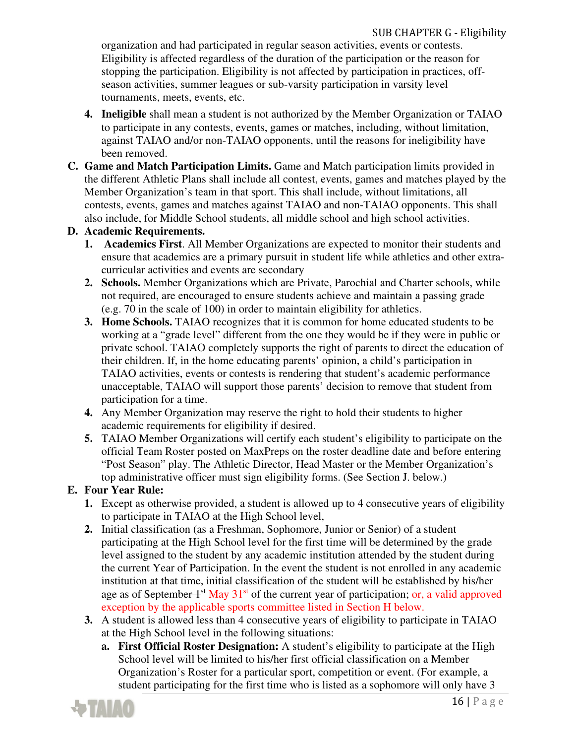organization and had participated in regular season activities, events or contests. Eligibility is affected regardless of the duration of the participation or the reason for stopping the participation. Eligibility is not affected by participation in practices, offseason activities, summer leagues or sub-varsity participation in varsity level tournaments, meets, events, etc.

- **4. Ineligible** shall mean a student is not authorized by the Member Organization or TAIAO to participate in any contests, events, games or matches, including, without limitation, against TAIAO and/or non-TAIAO opponents, until the reasons for ineligibility have been removed.
- **C. Game and Match Participation Limits.** Game and Match participation limits provided in the different Athletic Plans shall include all contest, events, games and matches played by the Member Organization's team in that sport. This shall include, without limitations, all contests, events, games and matches against TAIAO and non-TAIAO opponents. This shall also include, for Middle School students, all middle school and high school activities.

### **D. Academic Requirements.**

- **1. Academics First**. All Member Organizations are expected to monitor their students and ensure that academics are a primary pursuit in student life while athletics and other extracurricular activities and events are secondary
- **2. Schools.** Member Organizations which are Private, Parochial and Charter schools, while not required, are encouraged to ensure students achieve and maintain a passing grade (e.g. 70 in the scale of 100) in order to maintain eligibility for athletics.
- **3. Home Schools.** TAIAO recognizes that it is common for home educated students to be working at a "grade level" different from the one they would be if they were in public or private school. TAIAO completely supports the right of parents to direct the education of their children. If, in the home educating parents' opinion, a child's participation in TAIAO activities, events or contests is rendering that student's academic performance unacceptable, TAIAO will support those parents' decision to remove that student from participation for a time.
- **4.** Any Member Organization may reserve the right to hold their students to higher academic requirements for eligibility if desired.
- **5.** TAIAO Member Organizations will certify each student's eligibility to participate on the official Team Roster posted on MaxPreps on the roster deadline date and before entering "Post Season" play. The Athletic Director, Head Master or the Member Organization's top administrative officer must sign eligibility forms. (See Section J. below.)

## **E. Four Year Rule:**

- **1.** Except as otherwise provided, a student is allowed up to 4 consecutive years of eligibility to participate in TAIAO at the High School level,
- **2.** Initial classification (as a Freshman, Sophomore, Junior or Senior) of a student participating at the High School level for the first time will be determined by the grade level assigned to the student by any academic institution attended by the student during the current Year of Participation. In the event the student is not enrolled in any academic institution at that time, initial classification of the student will be established by his/her age as of September  $1^{st}$  May  $31^{st}$  of the current year of participation; or, a valid approved exception by the applicable sports committee listed in Section H below.
- **3.** A student is allowed less than 4 consecutive years of eligibility to participate in TAIAO at the High School level in the following situations:
	- **a. First Official Roster Designation:** A student's eligibility to participate at the High School level will be limited to his/her first official classification on a Member Organization's Roster for a particular sport, competition or event. (For example, a student participating for the first time who is listed as a sophomore will only have 3

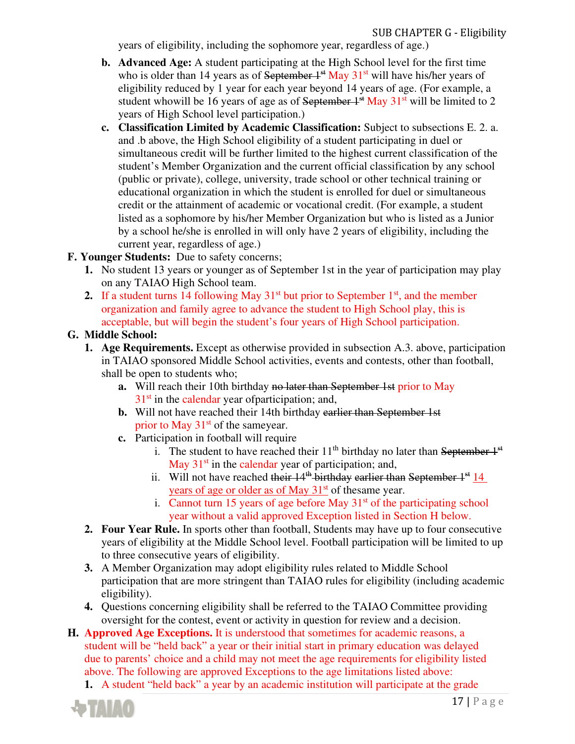years of eligibility, including the sophomore year, regardless of age.)

- **b. Advanced Age:** A student participating at the High School level for the first time who is older than 14 years as of September  $1<sup>st</sup>$  May  $31<sup>st</sup>$  will have his/her years of eligibility reduced by 1 year for each year beyond 14 years of age. (For example, a student who will be 16 years of age as of September  $1<sup>st</sup>$  May  $31<sup>st</sup>$  will be limited to 2 years of High School level participation.)
- **c. Classification Limited by Academic Classification:** Subject to subsections E. 2. a. and .b above, the High School eligibility of a student participating in duel or simultaneous credit will be further limited to the highest current classification of the student's Member Organization and the current official classification by any school (public or private), college, university, trade school or other technical training or educational organization in which the student is enrolled for duel or simultaneous credit or the attainment of academic or vocational credit. (For example, a student listed as a sophomore by his/her Member Organization but who is listed as a Junior by a school he/she is enrolled in will only have 2 years of eligibility, including the current year, regardless of age.)

### **F. Younger Students:** Due to safety concerns;

- **1.** No student 13 years or younger as of September 1st in the year of participation may play on any TAIAO High School team.
- **2.** If a student turns 14 following May  $31<sup>st</sup>$  but prior to September  $1<sup>st</sup>$ , and the member organization and family agree to advance the student to High School play, this is acceptable, but will begin the student's four years of High School participation.

### **G. Middle School:**

- **1. Age Requirements.** Except as otherwise provided in subsection A.3. above, participation in TAIAO sponsored Middle School activities, events and contests, other than football, shall be open to students who;
	- **a.** Will reach their 10th birthday no later than September 1st prior to May  $31<sup>st</sup>$  in the calendar year of participation; and,
	- **b.** Will not have reached their 14th birthday earlier than September 1st prior to May  $31<sup>st</sup>$  of the same year.
	- **c.** Participation in football will require
		- i. The student to have reached their  $11<sup>th</sup>$  birthday no later than September  $1<sup>st</sup>$ May  $31<sup>st</sup>$  in the calendar year of participation; and,
		- ii. Will not have reached their  $14<sup>th</sup>$  birthday earlier than September  $1<sup>st</sup> 14$ years of age or older as of May  $31<sup>st</sup>$  of the same year.
		- i. Cannot turn 15 years of age before May  $31<sup>st</sup>$  of the participating school year without a valid approved Exception listed in Section H below.
- **2. Four Year Rule.** In sports other than football, Students may have up to four consecutive years of eligibility at the Middle School level. Football participation will be limited to up to three consecutive years of eligibility.
- **3.** A Member Organization may adopt eligibility rules related to Middle School participation that are more stringent than TAIAO rules for eligibility (including academic eligibility).
- **4.** Questions concerning eligibility shall be referred to the TAIAO Committee providing oversight for the contest, event or activity in question for review and a decision.
- **H. Approved Age Exceptions.** It is understood that sometimes for academic reasons, a student will be "held back" a year or their initial start in primary education was delayed due to parents' choice and a child may not meet the age requirements for eligibility listed above. The following are approved Exceptions to the age limitations listed above:
	- **1.** A student "held back" a year by an academic institution will participate at the grade

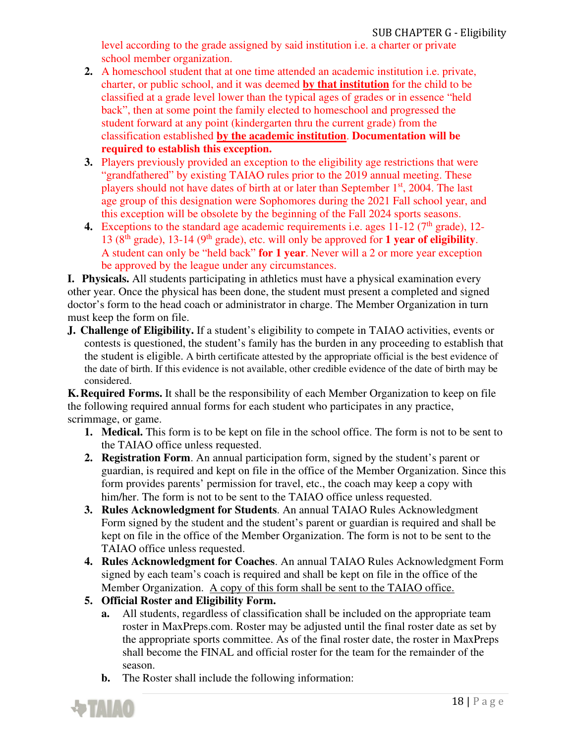level according to the grade assigned by said institution i.e. a charter or private school member organization.

- **2.** A homeschool student that at one time attended an academic institution i.e. private, charter, or public school, and it was deemed **by that institution** for the child to be classified at a grade level lower than the typical ages of grades or in essence "held back", then at some point the family elected to homeschool and progressed the student forward at any point (kindergarten thru the current grade) from the classification established **by the academic institution**. **Documentation will be required to establish this exception.**
- **3.** Players previously provided an exception to the eligibility age restrictions that were "grandfathered" by existing TAIAO rules prior to the 2019 annual meeting. These players should not have dates of birth at or later than September  $1<sup>st</sup>$ , 2004. The last age group of this designation were Sophomores during the 2021 Fall school year, and this exception will be obsolete by the beginning of the Fall 2024 sports seasons.
- **4.** Exceptions to the standard age academic requirements i.e. ages  $11-12$  ( $7<sup>th</sup>$  grade),  $12-$ 13 ( $8<sup>th</sup>$  grade), 13-14 ( $9<sup>th</sup>$  grade), etc. will only be approved for **1 year of eligibility**. A student can only be "held back" **for 1 year**. Never will a 2 or more year exception be approved by the league under any circumstances.

**I. Physicals.** All students participating in athletics must have a physical examination every other year. Once the physical has been done, the student must present a completed and signed doctor's form to the head coach or administrator in charge. The Member Organization in turn must keep the form on file.

**J. Challenge of Eligibility.** If a student's eligibility to compete in TAIAO activities, events or contests is questioned, the student's family has the burden in any proceeding to establish that the student is eligible. A birth certificate attested by the appropriate official is the best evidence of the date of birth. If this evidence is not available, other credible evidence of the date of birth may be considered.

**K.Required Forms.** It shall be the responsibility of each Member Organization to keep on file the following required annual forms for each student who participates in any practice, scrimmage, or game.

- **1. Medical.** This form is to be kept on file in the school office. The form is not to be sent to the TAIAO office unless requested.
- **2. Registration Form**. An annual participation form, signed by the student's parent or guardian, is required and kept on file in the office of the Member Organization. Since this form provides parents' permission for travel, etc., the coach may keep a copy with him/her. The form is not to be sent to the TAIAO office unless requested.
- **3. Rules Acknowledgment for Students**. An annual TAIAO Rules Acknowledgment Form signed by the student and the student's parent or guardian is required and shall be kept on file in the office of the Member Organization. The form is not to be sent to the TAIAO office unless requested.
- **4. Rules Acknowledgment for Coaches**. An annual TAIAO Rules Acknowledgment Form signed by each team's coach is required and shall be kept on file in the office of the Member Organization. A copy of this form shall be sent to the TAIAO office.
- **5. Official Roster and Eligibility Form.** 
	- **a.** All students, regardless of classification shall be included on the appropriate team roster in MaxPreps.com. Roster may be adjusted until the final roster date as set by the appropriate sports committee. As of the final roster date, the roster in MaxPreps shall become the FINAL and official roster for the team for the remainder of the season.
	- **b.** The Roster shall include the following information:

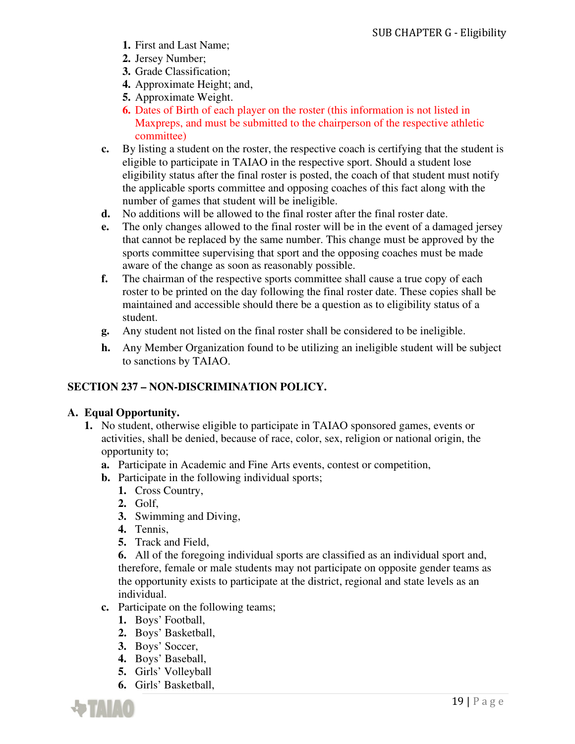- **1.** First and Last Name;
- **2.** Jersey Number;
- **3.** Grade Classification;
- **4.** Approximate Height; and,
- **5.** Approximate Weight.
- **6.** Dates of Birth of each player on the roster (this information is not listed in Maxpreps, and must be submitted to the chairperson of the respective athletic committee)
- **c.** By listing a student on the roster, the respective coach is certifying that the student is eligible to participate in TAIAO in the respective sport. Should a student lose eligibility status after the final roster is posted, the coach of that student must notify the applicable sports committee and opposing coaches of this fact along with the number of games that student will be ineligible.
- **d.** No additions will be allowed to the final roster after the final roster date.
- **e.** The only changes allowed to the final roster will be in the event of a damaged jersey that cannot be replaced by the same number. This change must be approved by the sports committee supervising that sport and the opposing coaches must be made aware of the change as soon as reasonably possible.
- **f.** The chairman of the respective sports committee shall cause a true copy of each roster to be printed on the day following the final roster date. These copies shall be maintained and accessible should there be a question as to eligibility status of a student.
- **g.** Any student not listed on the final roster shall be considered to be ineligible.
- **h.** Any Member Organization found to be utilizing an ineligible student will be subject to sanctions by TAIAO.

### **SECTION 237 – NON-DISCRIMINATION POLICY.**

### **A. Equal Opportunity.**

- **1.** No student, otherwise eligible to participate in TAIAO sponsored games, events or activities, shall be denied, because of race, color, sex, religion or national origin, the opportunity to;
	- **a.** Participate in Academic and Fine Arts events, contest or competition,
	- **b.** Participate in the following individual sports;
		- **1.** Cross Country,
		- **2.** Golf,
		- **3.** Swimming and Diving,
		- **4.** Tennis,
		- **5.** Track and Field,

**6.** All of the foregoing individual sports are classified as an individual sport and, therefore, female or male students may not participate on opposite gender teams as the opportunity exists to participate at the district, regional and state levels as an individual.

- **c.** Participate on the following teams;
	- **1.** Boys' Football,
	- **2.** Boys' Basketball,
	- **3.** Boys' Soccer,
	- **4.** Boys' Baseball,
	- **5.** Girls' Volleyball
	- **6.** Girls' Basketball,

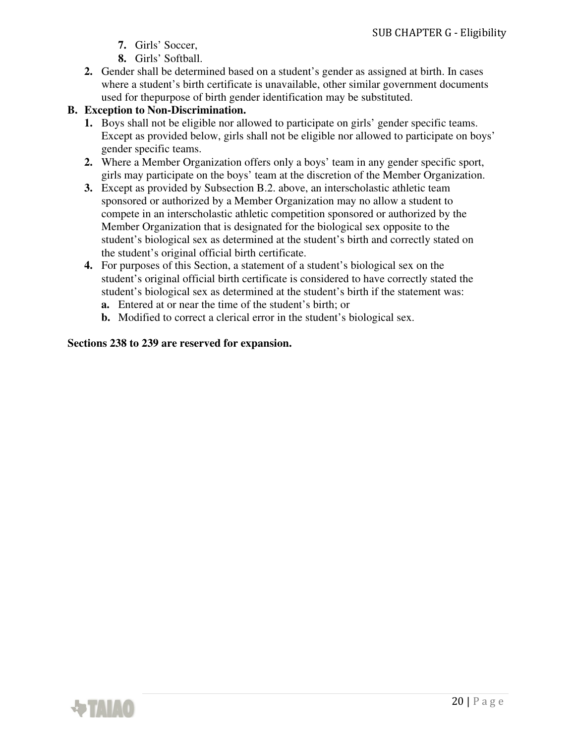- **7.** Girls' Soccer,
- **8.** Girls' Softball.
- **2.** Gender shall be determined based on a student's gender as assigned at birth. In cases where a student's birth certificate is unavailable, other similar government documents used for the purpose of birth gender identification may be substituted.

### **B. Exception to Non-Discrimination.**

- **1.** Boys shall not be eligible nor allowed to participate on girls' gender specific teams. Except as provided below, girls shall not be eligible nor allowed to participate on boys' gender specific teams.
- **2.** Where a Member Organization offers only a boys' team in any gender specific sport, girls may participate on the boys' team at the discretion of the Member Organization.
- **3.** Except as provided by Subsection B.2. above, an interscholastic athletic team sponsored or authorized by a Member Organization may no allow a student to compete in an interscholastic athletic competition sponsored or authorized by the Member Organization that is designated for the biological sex opposite to the student's biological sex as determined at the student's birth and correctly stated on the student's original official birth certificate.
- **4.** For purposes of this Section, a statement of a student's biological sex on the student's original official birth certificate is considered to have correctly stated the student's biological sex as determined at the student's birth if the statement was:
	- **a.** Entered at or near the time of the student's birth; or
	- **b.** Modified to correct a clerical error in the student's biological sex.

### **Sections 238 to 239 are reserved for expansion.**

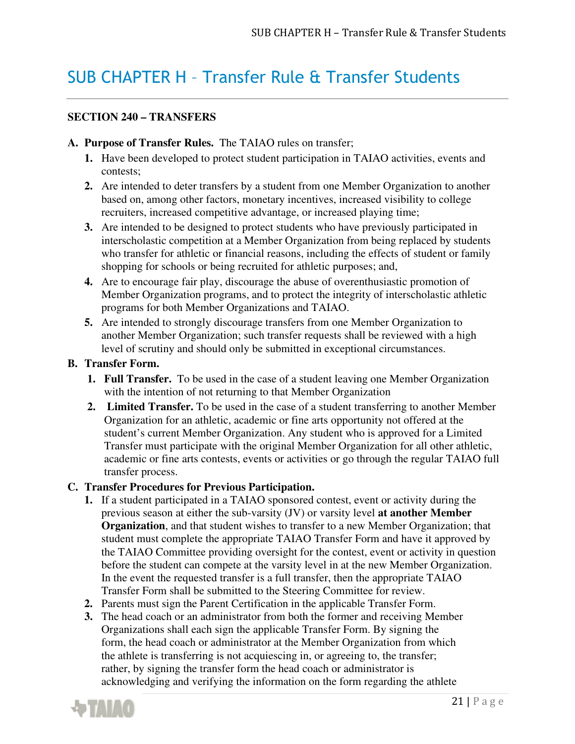## SUB CHAPTER H – Transfer Rule & Transfer Students

### **SECTION 240 – TRANSFERS**

### **A. Purpose of Transfer Rules.** The TAIAO rules on transfer;

- **1.** Have been developed to protect student participation in TAIAO activities, events and contests;
- **2.** Are intended to deter transfers by a student from one Member Organization to another based on, among other factors, monetary incentives, increased visibility to college recruiters, increased competitive advantage, or increased playing time;
- **3.** Are intended to be designed to protect students who have previously participated in interscholastic competition at a Member Organization from being replaced by students who transfer for athletic or financial reasons, including the effects of student or family shopping for schools or being recruited for athletic purposes; and,
- **4.** Are to encourage fair play, discourage the abuse of overenthusiastic promotion of Member Organization programs, and to protect the integrity of interscholastic athletic programs for both Member Organizations and TAIAO.
- **5.** Are intended to strongly discourage transfers from one Member Organization to another Member Organization; such transfer requests shall be reviewed with a high level of scrutiny and should only be submitted in exceptional circumstances.

### **B. Transfer Form.**

- **1. Full Transfer.** To be used in the case of a student leaving one Member Organization with the intention of not returning to that Member Organization
- **2. Limited Transfer.** To be used in the case of a student transferring to another Member Organization for an athletic, academic or fine arts opportunity not offered at the student's current Member Organization. Any student who is approved for a Limited Transfer must participate with the original Member Organization for all other athletic, academic or fine arts contests, events or activities or go through the regular TAIAO full transfer process.

### **C. Transfer Procedures for Previous Participation.**

- **1.** If a student participated in a TAIAO sponsored contest, event or activity during the previous season at either the sub-varsity (JV) or varsity level **at another Member Organization**, and that student wishes to transfer to a new Member Organization; that student must complete the appropriate TAIAO Transfer Form and have it approved by the TAIAO Committee providing oversight for the contest, event or activity in question before the student can compete at the varsity level in at the new Member Organization. In the event the requested transfer is a full transfer, then the appropriate TAIAO Transfer Form shall be submitted to the Steering Committee for review.
- **2.** Parents must sign the Parent Certification in the applicable Transfer Form.
- **3.** The head coach or an administrator from both the former and receiving Member Organizations shall each sign the applicable Transfer Form. By signing the form, the head coach or administrator at the Member Organization from which the athlete is transferring is not acquiescing in, or agreeing to, the transfer; rather, by signing the transfer form the head coach or administrator is acknowledging and verifying the information on the form regarding the athlete

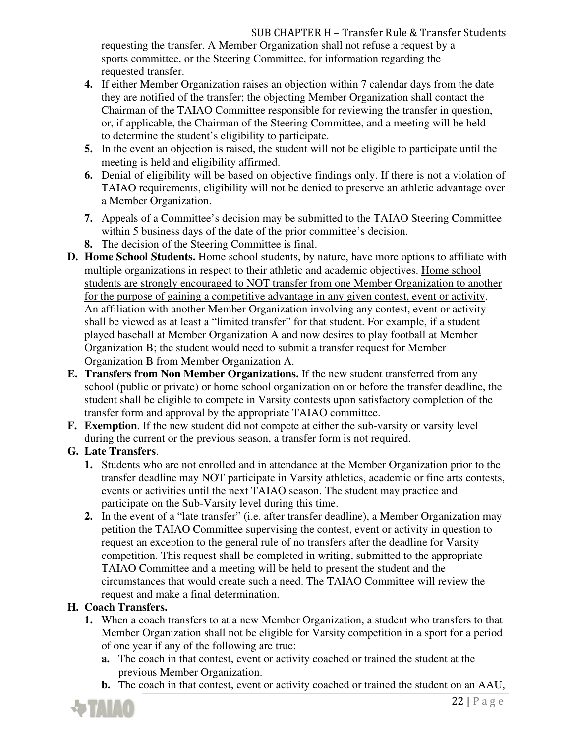requesting the transfer. A Member Organization shall not refuse a request by a sports committee, or the Steering Committee, for information regarding the requested transfer.

- **4.** If either Member Organization raises an objection within 7 calendar days from the date they are notified of the transfer; the objecting Member Organization shall contact the Chairman of the TAIAO Committee responsible for reviewing the transfer in question, or, if applicable, the Chairman of the Steering Committee, and a meeting will be held to determine the student's eligibility to participate.
- **5.** In the event an objection is raised, the student will not be eligible to participate until the meeting is held and eligibility affirmed.
- **6.** Denial of eligibility will be based on objective findings only. If there is not a violation of TAIAO requirements, eligibility will not be denied to preserve an athletic advantage over a Member Organization.
- **7.** Appeals of a Committee's decision may be submitted to the TAIAO Steering Committee within 5 business days of the date of the prior committee's decision.
- **8.** The decision of the Steering Committee is final.
- **D. Home School Students.** Home school students, by nature, have more options to affiliate with multiple organizations in respect to their athletic and academic objectives. Home school students are strongly encouraged to NOT transfer from one Member Organization to another for the purpose of gaining a competitive advantage in any given contest, event or activity. An affiliation with another Member Organization involving any contest, event or activity shall be viewed as at least a "limited transfer" for that student. For example, if a student played baseball at Member Organization A and now desires to play football at Member Organization B; the student would need to submit a transfer request for Member Organization B from Member Organization A.
- **E. Transfers from Non Member Organizations.** If the new student transferred from any school (public or private) or home school organization on or before the transfer deadline, the student shall be eligible to compete in Varsity contests upon satisfactory completion of the transfer form and approval by the appropriate TAIAO committee.
- **F. Exemption**. If the new student did not compete at either the sub-varsity or varsity level during the current or the previous season, a transfer form is not required.

## **G. Late Transfers**.

- **1.** Students who are not enrolled and in attendance at the Member Organization prior to the transfer deadline may NOT participate in Varsity athletics, academic or fine arts contests, events or activities until the next TAIAO season. The student may practice and participate on the Sub-Varsity level during this time.
- **2.** In the event of a "late transfer" (i.e. after transfer deadline), a Member Organization may petition the TAIAO Committee supervising the contest, event or activity in question to request an exception to the general rule of no transfers after the deadline for Varsity competition. This request shall be completed in writing, submitted to the appropriate TAIAO Committee and a meeting will be held to present the student and the circumstances that would create such a need. The TAIAO Committee will review the request and make a final determination.

## **H. Coach Transfers.**

- **1.** When a coach transfers to at a new Member Organization, a student who transfers to that Member Organization shall not be eligible for Varsity competition in a sport for a period of one year if any of the following are true:
	- **a.** The coach in that contest, event or activity coached or trained the student at the previous Member Organization.
	- **b.** The coach in that contest, event or activity coached or trained the student on an AAU,

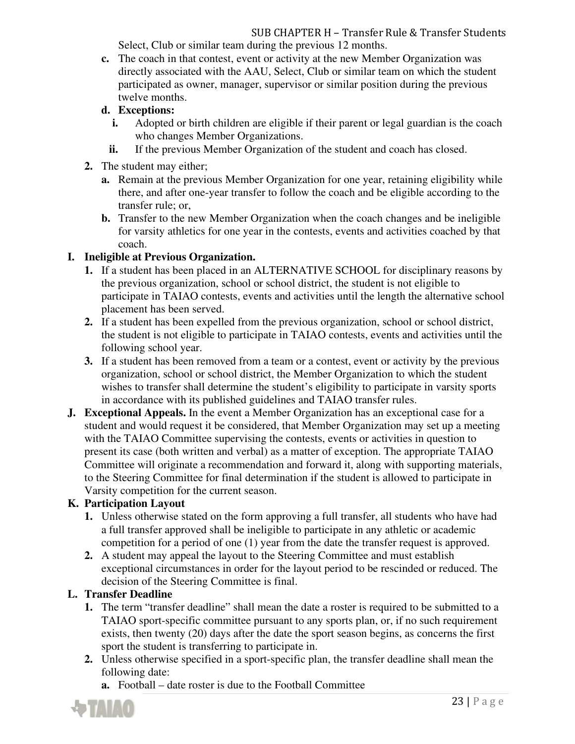#### SUB CHAPTER H – Transfer Rule & Transfer Students Select, Club or similar team during the previous 12 months.

- **c.** The coach in that contest, event or activity at the new Member Organization was directly associated with the AAU, Select, Club or similar team on which the student participated as owner, manager, supervisor or similar position during the previous twelve months.
- **d. Exceptions:** 
	- **i.** Adopted or birth children are eligible if their parent or legal guardian is the coach who changes Member Organizations.
	- **ii.** If the previous Member Organization of the student and coach has closed.
- **2.** The student may either;
	- **a.** Remain at the previous Member Organization for one year, retaining eligibility while there, and after one-year transfer to follow the coach and be eligible according to the transfer rule; or,
	- **b.** Transfer to the new Member Organization when the coach changes and be ineligible for varsity athletics for one year in the contests, events and activities coached by that coach.

### **I. Ineligible at Previous Organization.**

- **1.** If a student has been placed in an ALTERNATIVE SCHOOL for disciplinary reasons by the previous organization, school or school district, the student is not eligible to participate in TAIAO contests, events and activities until the length the alternative school placement has been served.
- **2.** If a student has been expelled from the previous organization, school or school district, the student is not eligible to participate in TAIAO contests, events and activities until the following school year.
- **3.** If a student has been removed from a team or a contest, event or activity by the previous organization, school or school district, the Member Organization to which the student wishes to transfer shall determine the student's eligibility to participate in varsity sports in accordance with its published guidelines and TAIAO transfer rules.
- **J. Exceptional Appeals.** In the event a Member Organization has an exceptional case for a student and would request it be considered, that Member Organization may set up a meeting with the TAIAO Committee supervising the contests, events or activities in question to present its case (both written and verbal) as a matter of exception. The appropriate TAIAO Committee will originate a recommendation and forward it, along with supporting materials, to the Steering Committee for final determination if the student is allowed to participate in Varsity competition for the current season.

## **K. Participation Layout**

- **1.** Unless otherwise stated on the form approving a full transfer, all students who have had a full transfer approved shall be ineligible to participate in any athletic or academic competition for a period of one (1) year from the date the transfer request is approved.
- **2.** A student may appeal the layout to the Steering Committee and must establish exceptional circumstances in order for the layout period to be rescinded or reduced. The decision of the Steering Committee is final.

## **L. Transfer Deadline**

- **1.** The term "transfer deadline" shall mean the date a roster is required to be submitted to a TAIAO sport-specific committee pursuant to any sports plan, or, if no such requirement exists, then twenty (20) days after the date the sport season begins, as concerns the first sport the student is transferring to participate in.
- **2.** Unless otherwise specified in a sport-specific plan, the transfer deadline shall mean the following date:
	- **a.** Football date roster is due to the Football Committee

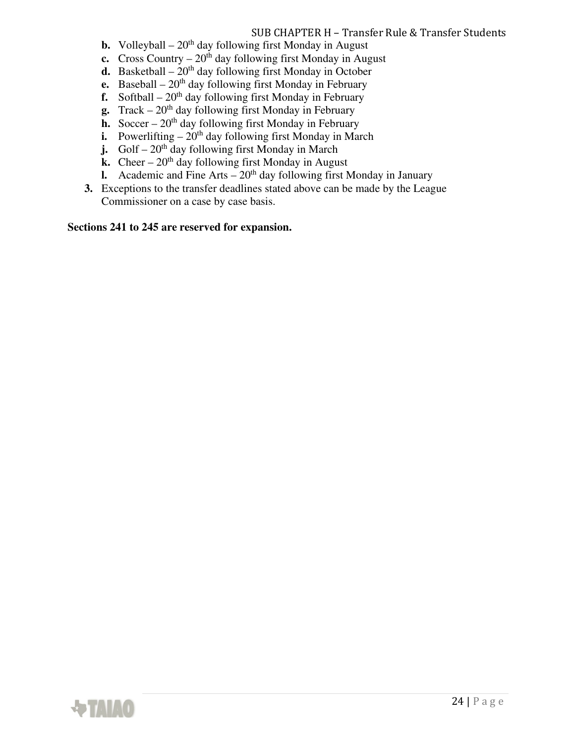## SUB CHAPTER H – Transfer Rule & Transfer Students

- **b.** Volleyball  $20<sup>th</sup>$  day following first Monday in August
- **c.** Cross Country  $20^{th}$  day following first Monday in August
- **d.** Basketball  $20<sup>th</sup>$  day following first Monday in October
- **e.** Baseball  $20^{th}$  day following first Monday in February
- **f.** Softball  $20<sup>th</sup>$  day following first Monday in February
- **g.** Track  $-20<sup>th</sup>$  day following first Monday in February
- **h.** Soccer  $20<sup>th</sup>$  day following first Monday in February
- **i.** Powerlifting  $-20$ <sup>th</sup> day following first Monday in March
- **j.** Golf  $20^{th}$  day following first Monday in March
- **k.** Cheer  $20<sup>th</sup>$  day following first Monday in August
- **l.** Academic and Fine Arts  $-20<sup>th</sup>$  day following first Monday in January
- **3.** Exceptions to the transfer deadlines stated above can be made by the League Commissioner on a case by case basis.

**Sections 241 to 245 are reserved for expansion.** 

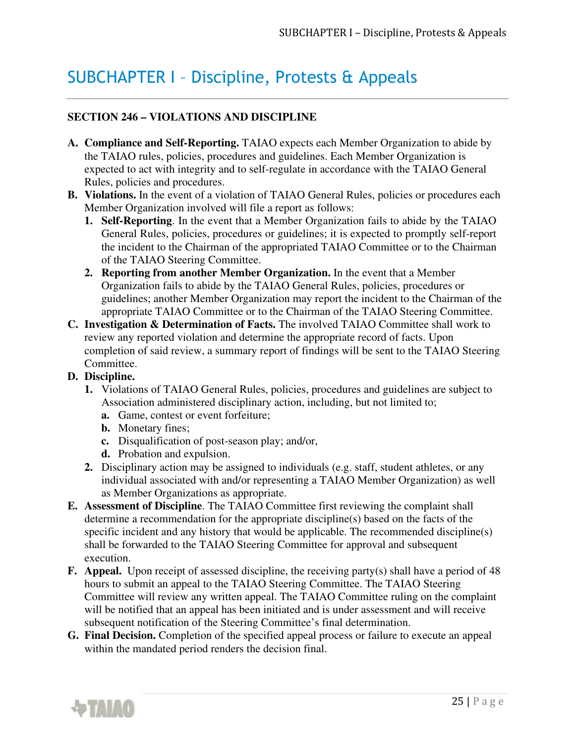## SUBCHAPTER I – Discipline, Protests & Appeals

### **SECTION 246 – VIOLATIONS AND DISCIPLINE**

- **A. Compliance and Self-Reporting.** TAIAO expects each Member Organization to abide by the TAIAO rules, policies, procedures and guidelines. Each Member Organization is expected to act with integrity and to self-regulate in accordance with the TAIAO General Rules, policies and procedures.
- **B.** Violations. In the event of a violation of TAIAO General Rules, policies or procedures each Member Organization involved will file a report as follows:
	- **1. Self-Reporting**. In the event that a Member Organization fails to abide by the TAIAO General Rules, policies, procedures or guidelines; it is expected to promptly self-report the incident to the Chairman of the appropriated TAIAO Committee or to the Chairman of the TAIAO Steering Committee.
	- **2. Reporting from another Member Organization.** In the event that a Member Organization fails to abide by the TAIAO General Rules, policies, procedures or guidelines; another Member Organization may report the incident to the Chairman of the appropriate TAIAO Committee or to the Chairman of the TAIAO Steering Committee.
- **C. Investigation & Determination of Facts.** The involved TAIAO Committee shall work to review any reported violation and determine the appropriate record of facts. Upon completion of said review, a summary report of findings will be sent to the TAIAO Steering Committee.

#### **D. Discipline.**

- **1.** Violations of TAIAO General Rules, policies, procedures and guidelines are subject to Association administered disciplinary action, including, but not limited to;
	- **a.** Game, contest or event forfeiture;
	- **b.** Monetary fines;
	- **c.** Disqualification of post-season play; and/or,
	- **d.** Probation and expulsion.
- **2.** Disciplinary action may be assigned to individuals (e.g. staff, student athletes, or any individual associated with and/or representing a TAIAO Member Organization) as well as Member Organizations as appropriate.
- **E. Assessment of Discipline**. The TAIAO Committee first reviewing the complaint shall determine a recommendation for the appropriate discipline(s) based on the facts of the specific incident and any history that would be applicable. The recommended discipline(s) shall be forwarded to the TAIAO Steering Committee for approval and subsequent execution.
- **F. Appeal.** Upon receipt of assessed discipline, the receiving party(s) shall have a period of 48 hours to submit an appeal to the TAIAO Steering Committee. The TAIAO Steering Committee will review any written appeal. The TAIAO Committee ruling on the complaint will be notified that an appeal has been initiated and is under assessment and will receive subsequent notification of the Steering Committee's final determination.
- **G. Final Decision.** Completion of the specified appeal process or failure to execute an appeal within the mandated period renders the decision final.

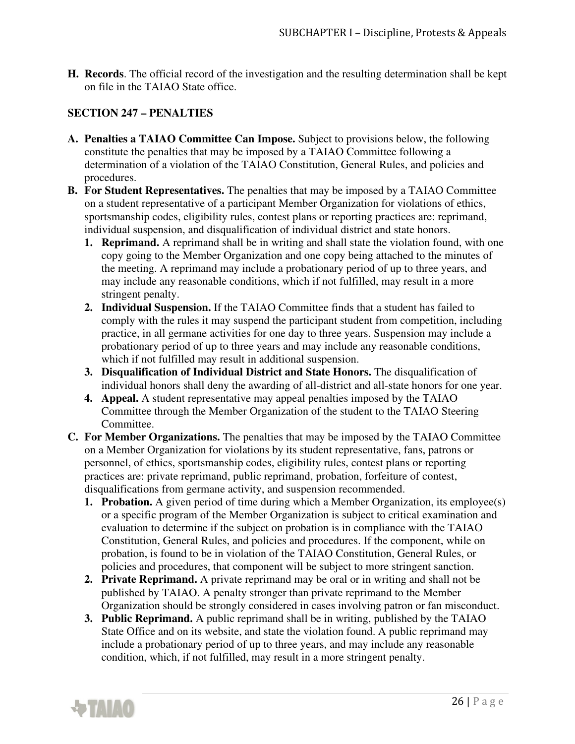**H. Records**. The official record of the investigation and the resulting determination shall be kept on file in the TAIAO State office.

### **SECTION 247 – PENALTIES**

- **A. Penalties a TAIAO Committee Can Impose.** Subject to provisions below, the following constitute the penalties that may be imposed by a TAIAO Committee following a determination of a violation of the TAIAO Constitution, General Rules, and policies and procedures.
- **B. For Student Representatives.** The penalties that may be imposed by a TAIAO Committee on a student representative of a participant Member Organization for violations of ethics, sportsmanship codes, eligibility rules, contest plans or reporting practices are: reprimand, individual suspension, and disqualification of individual district and state honors.
	- **1. Reprimand.** A reprimand shall be in writing and shall state the violation found, with one copy going to the Member Organization and one copy being attached to the minutes of the meeting. A reprimand may include a probationary period of up to three years, and may include any reasonable conditions, which if not fulfilled, may result in a more stringent penalty.
	- **2. Individual Suspension.** If the TAIAO Committee finds that a student has failed to comply with the rules it may suspend the participant student from competition, including practice, in all germane activities for one day to three years. Suspension may include a probationary period of up to three years and may include any reasonable conditions, which if not fulfilled may result in additional suspension.
	- **3. Disqualification of Individual District and State Honors.** The disqualification of individual honors shall deny the awarding of all-district and all-state honors for one year.
	- **4. Appeal.** A student representative may appeal penalties imposed by the TAIAO Committee through the Member Organization of the student to the TAIAO Steering Committee.
- **C. For Member Organizations.** The penalties that may be imposed by the TAIAO Committee on a Member Organization for violations by its student representative, fans, patrons or personnel, of ethics, sportsmanship codes, eligibility rules, contest plans or reporting practices are: private reprimand, public reprimand, probation, forfeiture of contest, disqualifications from germane activity, and suspension recommended.
	- **1. Probation.** A given period of time during which a Member Organization, its employee(s) or a specific program of the Member Organization is subject to critical examination and evaluation to determine if the subject on probation is in compliance with the TAIAO Constitution, General Rules, and policies and procedures. If the component, while on probation, is found to be in violation of the TAIAO Constitution, General Rules, or policies and procedures, that component will be subject to more stringent sanction.
	- **2. Private Reprimand.** A private reprimand may be oral or in writing and shall not be published by TAIAO. A penalty stronger than private reprimand to the Member Organization should be strongly considered in cases involving patron or fan misconduct.
	- **3. Public Reprimand.** A public reprimand shall be in writing, published by the TAIAO State Office and on its website, and state the violation found. A public reprimand may include a probationary period of up to three years, and may include any reasonable condition, which, if not fulfilled, may result in a more stringent penalty.

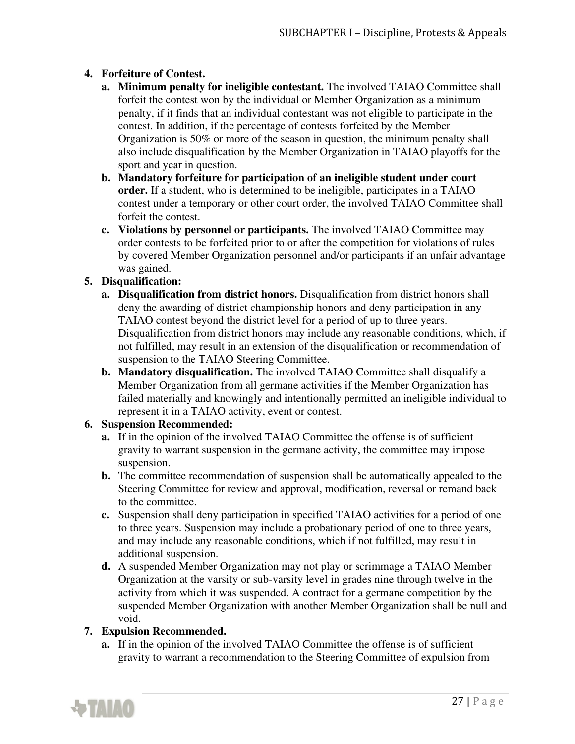### **4. Forfeiture of Contest.**

- **a. Minimum penalty for ineligible contestant.** The involved TAIAO Committee shall forfeit the contest won by the individual or Member Organization as a minimum penalty, if it finds that an individual contestant was not eligible to participate in the contest. In addition, if the percentage of contests forfeited by the Member Organization is 50% or more of the season in question, the minimum penalty shall also include disqualification by the Member Organization in TAIAO playoffs for the sport and year in question.
- **b. Mandatory forfeiture for participation of an ineligible student under court order.** If a student, who is determined to be ineligible, participates in a TAIAO contest under a temporary or other court order, the involved TAIAO Committee shall forfeit the contest.
- **c. Violations by personnel or participants.** The involved TAIAO Committee may order contests to be forfeited prior to or after the competition for violations of rules by covered Member Organization personnel and/or participants if an unfair advantage was gained.

### **5. Disqualification:**

- **a. Disqualification from district honors.** Disqualification from district honors shall deny the awarding of district championship honors and deny participation in any TAIAO contest beyond the district level for a period of up to three years. Disqualification from district honors may include any reasonable conditions, which, if not fulfilled, may result in an extension of the disqualification or recommendation of suspension to the TAIAO Steering Committee.
- **b. Mandatory disqualification.** The involved TAIAO Committee shall disqualify a Member Organization from all germane activities if the Member Organization has failed materially and knowingly and intentionally permitted an ineligible individual to represent it in a TAIAO activity, event or contest.

### **6. Suspension Recommended:**

- **a.** If in the opinion of the involved TAIAO Committee the offense is of sufficient gravity to warrant suspension in the germane activity, the committee may impose suspension.
- **b.** The committee recommendation of suspension shall be automatically appealed to the Steering Committee for review and approval, modification, reversal or remand back to the committee.
- **c.** Suspension shall deny participation in specified TAIAO activities for a period of one to three years. Suspension may include a probationary period of one to three years, and may include any reasonable conditions, which if not fulfilled, may result in additional suspension.
- **d.** A suspended Member Organization may not play or scrimmage a TAIAO Member Organization at the varsity or sub-varsity level in grades nine through twelve in the activity from which it was suspended. A contract for a germane competition by the suspended Member Organization with another Member Organization shall be null and void.

### **7. Expulsion Recommended.**

**a.** If in the opinion of the involved TAIAO Committee the offense is of sufficient gravity to warrant a recommendation to the Steering Committee of expulsion from

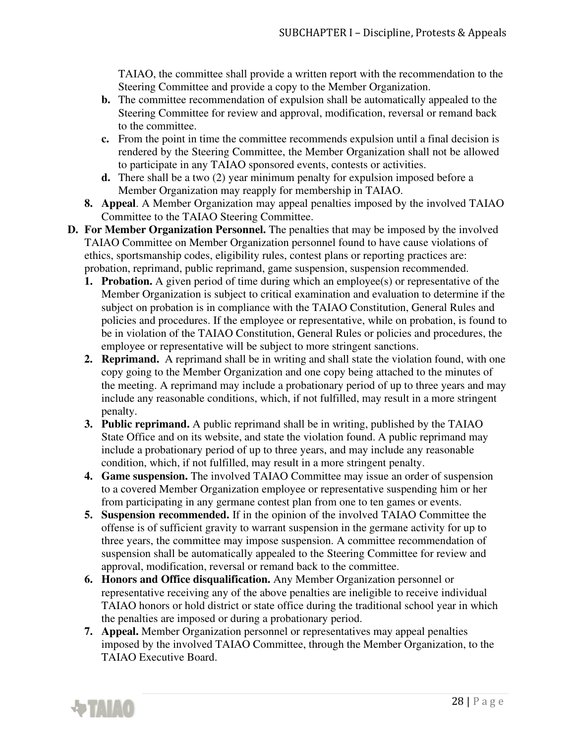TAIAO, the committee shall provide a written report with the recommendation to the Steering Committee and provide a copy to the Member Organization.

- **b.** The committee recommendation of expulsion shall be automatically appealed to the Steering Committee for review and approval, modification, reversal or remand back to the committee.
- **c.** From the point in time the committee recommends expulsion until a final decision is rendered by the Steering Committee, the Member Organization shall not be allowed to participate in any TAIAO sponsored events, contests or activities.
- **d.** There shall be a two (2) year minimum penalty for expulsion imposed before a Member Organization may reapply for membership in TAIAO.
- **8. Appeal**. A Member Organization may appeal penalties imposed by the involved TAIAO Committee to the TAIAO Steering Committee.
- **D. For Member Organization Personnel.** The penalties that may be imposed by the involved TAIAO Committee on Member Organization personnel found to have cause violations of ethics, sportsmanship codes, eligibility rules, contest plans or reporting practices are: probation, reprimand, public reprimand, game suspension, suspension recommended.
	- **1. Probation.** A given period of time during which an employee(s) or representative of the Member Organization is subject to critical examination and evaluation to determine if the subject on probation is in compliance with the TAIAO Constitution, General Rules and policies and procedures. If the employee or representative, while on probation, is found to be in violation of the TAIAO Constitution, General Rules or policies and procedures, the employee or representative will be subject to more stringent sanctions.
	- **2. Reprimand.** A reprimand shall be in writing and shall state the violation found, with one copy going to the Member Organization and one copy being attached to the minutes of the meeting. A reprimand may include a probationary period of up to three years and may include any reasonable conditions, which, if not fulfilled, may result in a more stringent penalty.
	- **3. Public reprimand.** A public reprimand shall be in writing, published by the TAIAO State Office and on its website, and state the violation found. A public reprimand may include a probationary period of up to three years, and may include any reasonable condition, which, if not fulfilled, may result in a more stringent penalty.
	- **4. Game suspension.** The involved TAIAO Committee may issue an order of suspension to a covered Member Organization employee or representative suspending him or her from participating in any germane contest plan from one to ten games or events.
	- **5. Suspension recommended.** If in the opinion of the involved TAIAO Committee the offense is of sufficient gravity to warrant suspension in the germane activity for up to three years, the committee may impose suspension. A committee recommendation of suspension shall be automatically appealed to the Steering Committee for review and approval, modification, reversal or remand back to the committee.
	- **6. Honors and Office disqualification.** Any Member Organization personnel or representative receiving any of the above penalties are ineligible to receive individual TAIAO honors or hold district or state office during the traditional school year in which the penalties are imposed or during a probationary period.
	- **7. Appeal.** Member Organization personnel or representatives may appeal penalties imposed by the involved TAIAO Committee, through the Member Organization, to the TAIAO Executive Board.

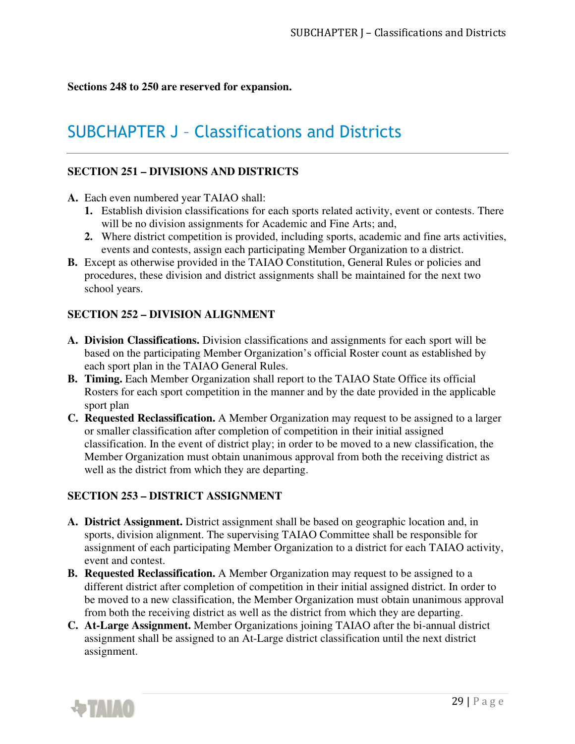**Sections 248 to 250 are reserved for expansion.** 

## SUBCHAPTER J – Classifications and Districts

### **SECTION 251 – DIVISIONS AND DISTRICTS**

- **A.** Each even numbered year TAIAO shall:
	- **1.** Establish division classifications for each sports related activity, event or contests. There will be no division assignments for Academic and Fine Arts; and,
	- **2.** Where district competition is provided, including sports, academic and fine arts activities, events and contests, assign each participating Member Organization to a district.
- **B.** Except as otherwise provided in the TAIAO Constitution, General Rules or policies and procedures, these division and district assignments shall be maintained for the next two school years.

### **SECTION 252 – DIVISION ALIGNMENT**

- **A. Division Classifications.** Division classifications and assignments for each sport will be based on the participating Member Organization's official Roster count as established by each sport plan in the TAIAO General Rules.
- **B. Timing.** Each Member Organization shall report to the TAIAO State Office its official Rosters for each sport competition in the manner and by the date provided in the applicable sport plan
- **C. Requested Reclassification.** A Member Organization may request to be assigned to a larger or smaller classification after completion of competition in their initial assigned classification. In the event of district play; in order to be moved to a new classification, the Member Organization must obtain unanimous approval from both the receiving district as well as the district from which they are departing.

### **SECTION 253 – DISTRICT ASSIGNMENT**

- **A. District Assignment.** District assignment shall be based on geographic location and, in sports, division alignment. The supervising TAIAO Committee shall be responsible for assignment of each participating Member Organization to a district for each TAIAO activity, event and contest.
- **B. Requested Reclassification.** A Member Organization may request to be assigned to a different district after completion of competition in their initial assigned district. In order to be moved to a new classification, the Member Organization must obtain unanimous approval from both the receiving district as well as the district from which they are departing.
- **C. At-Large Assignment.** Member Organizations joining TAIAO after the bi-annual district assignment shall be assigned to an At-Large district classification until the next district assignment.

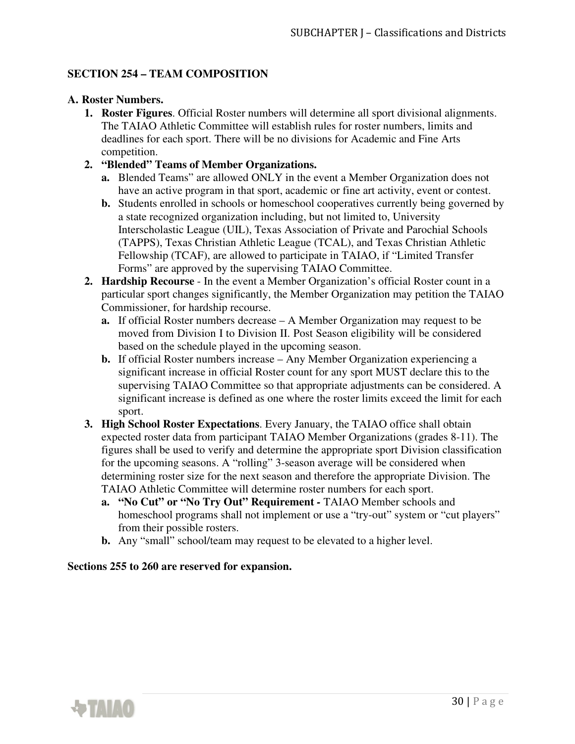### **SECTION 254 – TEAM COMPOSITION**

### **A. Roster Numbers.**

- **1. Roster Figures**. Official Roster numbers will determine all sport divisional alignments. The TAIAO Athletic Committee will establish rules for roster numbers, limits and deadlines for each sport. There will be no divisions for Academic and Fine Arts competition.
- **2. "Blended" Teams of Member Organizations.** 
	- **a.** Blended Teams" are allowed ONLY in the event a Member Organization does not have an active program in that sport, academic or fine art activity, event or contest.
	- **b.** Students enrolled in schools or homeschool cooperatives currently being governed by a state recognized organization including, but not limited to, University Interscholastic League (UIL), Texas Association of Private and Parochial Schools (TAPPS), Texas Christian Athletic League (TCAL), and Texas Christian Athletic Fellowship (TCAF), are allowed to participate in TAIAO, if "Limited Transfer Forms" are approved by the supervising TAIAO Committee.
- **2. Hardship Recourse**  In the event a Member Organization's official Roster count in a particular sport changes significantly, the Member Organization may petition the TAIAO Commissioner, for hardship recourse.
	- **a.** If official Roster numbers decrease A Member Organization may request to be moved from Division I to Division II. Post Season eligibility will be considered based on the schedule played in the upcoming season.
	- **b.** If official Roster numbers increase Any Member Organization experiencing a significant increase in official Roster count for any sport MUST declare this to the supervising TAIAO Committee so that appropriate adjustments can be considered. A significant increase is defined as one where the roster limits exceed the limit for each sport.
- **3. High School Roster Expectations**. Every January, the TAIAO office shall obtain expected roster data from participant TAIAO Member Organizations (grades 8-11). The figures shall be used to verify and determine the appropriate sport Division classification for the upcoming seasons. A "rolling" 3-season average will be considered when determining roster size for the next season and therefore the appropriate Division. The TAIAO Athletic Committee will determine roster numbers for each sport.
	- **a. "No Cut" or "No Try Out" Requirement** TAIAO Member schools and homeschool programs shall not implement or use a "try-out" system or "cut players" from their possible rosters.
	- **b.** Any "small" school/team may request to be elevated to a higher level.

#### **Sections 255 to 260 are reserved for expansion.**

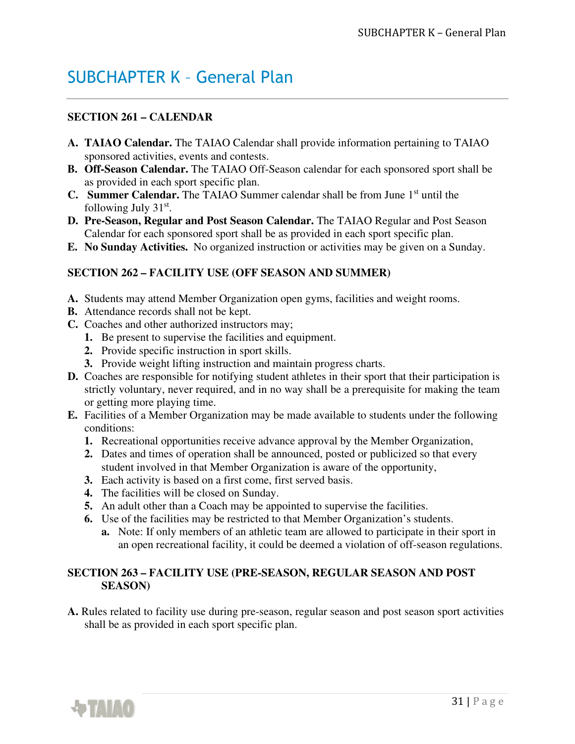## SUBCHAPTER K – General Plan

## **SECTION 261 – CALENDAR**

- **A. TAIAO Calendar.** The TAIAO Calendar shall provide information pertaining to TAIAO sponsored activities, events and contests.
- **B. Off-Season Calendar.** The TAIAO Off-Season calendar for each sponsored sport shall be as provided in each sport specific plan.
- **C.** Summer Calendar. The TAIAO Summer calendar shall be from June 1<sup>st</sup> until the following July  $31<sup>st</sup>$ .
- **D. Pre-Season, Regular and Post Season Calendar.** The TAIAO Regular and Post Season Calendar for each sponsored sport shall be as provided in each sport specific plan.
- **E. No Sunday Activities.** No organized instruction or activities may be given on a Sunday.

### **SECTION 262 – FACILITY USE (OFF SEASON AND SUMMER)**

- **A.** Students may attend Member Organization open gyms, facilities and weight rooms.
- **B.** Attendance records shall not be kept.
- **C.** Coaches and other authorized instructors may;
	- **1.** Be present to supervise the facilities and equipment.
	- **2.** Provide specific instruction in sport skills.
	- **3.** Provide weight lifting instruction and maintain progress charts.
- **D.** Coaches are responsible for notifying student athletes in their sport that their participation is strictly voluntary, never required, and in no way shall be a prerequisite for making the team or getting more playing time.
- **E.** Facilities of a Member Organization may be made available to students under the following conditions:
	- **1.** Recreational opportunities receive advance approval by the Member Organization,
	- **2.** Dates and times of operation shall be announced, posted or publicized so that every student involved in that Member Organization is aware of the opportunity,
	- **3.** Each activity is based on a first come, first served basis.
	- **4.** The facilities will be closed on Sunday.
	- **5.** An adult other than a Coach may be appointed to supervise the facilities.
	- **6.** Use of the facilities may be restricted to that Member Organization's students.
		- **a.** Note: If only members of an athletic team are allowed to participate in their sport in an open recreational facility, it could be deemed a violation of off-season regulations.

### **SECTION 263 – FACILITY USE (PRE-SEASON, REGULAR SEASON AND POST SEASON)**

**A.** Rules related to facility use during pre-season, regular season and post season sport activities shall be as provided in each sport specific plan.

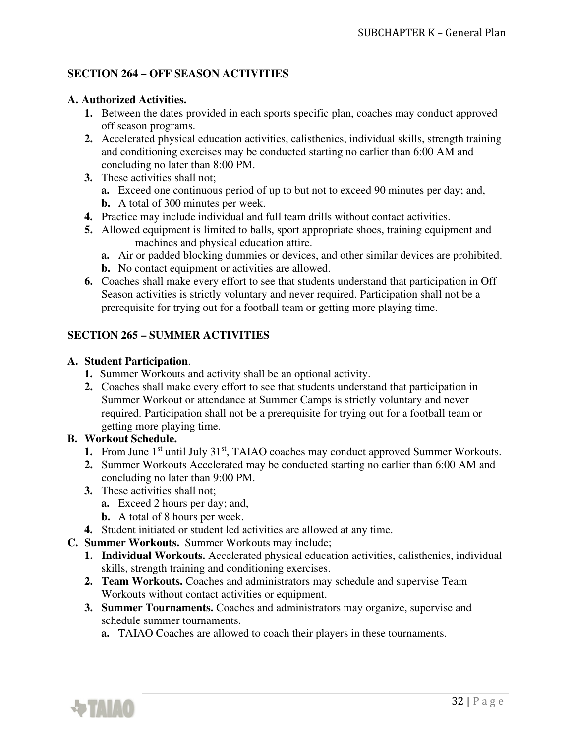### **SECTION 264 – OFF SEASON ACTIVITIES**

### **A. Authorized Activities.**

- **1.** Between the dates provided in each sports specific plan, coaches may conduct approved off season programs.
- **2.** Accelerated physical education activities, calisthenics, individual skills, strength training and conditioning exercises may be conducted starting no earlier than 6:00 AM and concluding no later than 8:00 PM.
- **3.** These activities shall not;
	- **a.** Exceed one continuous period of up to but not to exceed 90 minutes per day; and,
	- **b.** A total of 300 minutes per week.
- **4.** Practice may include individual and full team drills without contact activities.
- **5.** Allowed equipment is limited to balls, sport appropriate shoes, training equipment and machines and physical education attire.
	- **a.** Air or padded blocking dummies or devices, and other similar devices are prohibited.
	- **b.** No contact equipment or activities are allowed.
- **6.** Coaches shall make every effort to see that students understand that participation in Off Season activities is strictly voluntary and never required. Participation shall not be a prerequisite for trying out for a football team or getting more playing time.

### **SECTION 265 – SUMMER ACTIVITIES**

#### **A. Student Participation**.

- **1.** Summer Workouts and activity shall be an optional activity.
- **2.** Coaches shall make every effort to see that students understand that participation in Summer Workout or attendance at Summer Camps is strictly voluntary and never required. Participation shall not be a prerequisite for trying out for a football team or getting more playing time.

### **B. Workout Schedule.**

- **1.** From June 1<sup>st</sup> until July 31<sup>st</sup>, TAIAO coaches may conduct approved Summer Workouts.
- **2.** Summer Workouts Accelerated may be conducted starting no earlier than 6:00 AM and concluding no later than 9:00 PM.
- **3.** These activities shall not;
	- **a.** Exceed 2 hours per day; and,
	- **b.** A total of 8 hours per week.
- **4.** Student initiated or student led activities are allowed at any time.
- **C. Summer Workouts.** Summer Workouts may include;
	- **1. Individual Workouts.** Accelerated physical education activities, calisthenics, individual skills, strength training and conditioning exercises.
	- **2. Team Workouts.** Coaches and administrators may schedule and supervise Team Workouts without contact activities or equipment.
	- **3. Summer Tournaments.** Coaches and administrators may organize, supervise and schedule summer tournaments.
		- **a.** TAIAO Coaches are allowed to coach their players in these tournaments.

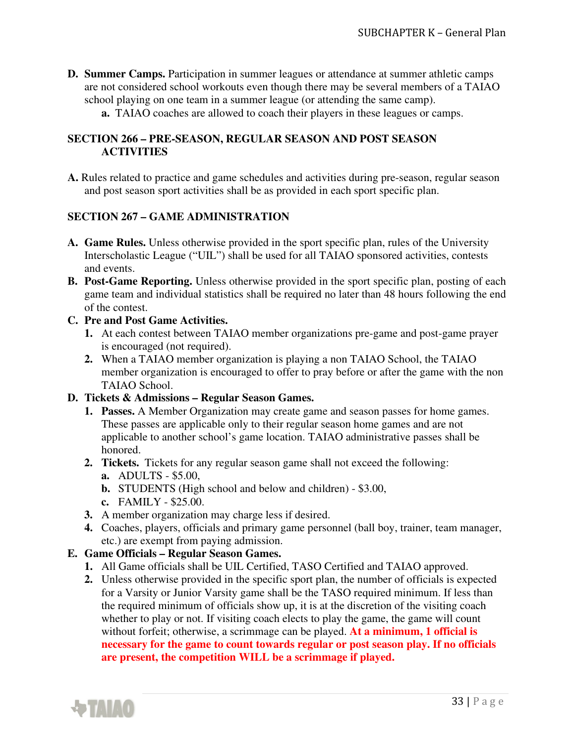- **D. Summer Camps.** Participation in summer leagues or attendance at summer athletic camps are not considered school workouts even though there may be several members of a TAIAO school playing on one team in a summer league (or attending the same camp).
	- **a.** TAIAO coaches are allowed to coach their players in these leagues or camps.

### **SECTION 266 – PRE-SEASON, REGULAR SEASON AND POST SEASON ACTIVITIES**

**A.** Rules related to practice and game schedules and activities during pre-season, regular season and post season sport activities shall be as provided in each sport specific plan.

### **SECTION 267 – GAME ADMINISTRATION**

- **A. Game Rules.** Unless otherwise provided in the sport specific plan, rules of the University Interscholastic League ("UIL") shall be used for all TAIAO sponsored activities, contests and events.
- **B. Post-Game Reporting.** Unless otherwise provided in the sport specific plan, posting of each game team and individual statistics shall be required no later than 48 hours following the end of the contest.
- **C. Pre and Post Game Activities.** 
	- **1.** At each contest between TAIAO member organizations pre-game and post-game prayer is encouraged (not required).
	- **2.** When a TAIAO member organization is playing a non TAIAO School, the TAIAO member organization is encouraged to offer to pray before or after the game with the non TAIAO School.

### **D. Tickets & Admissions – Regular Season Games.**

- **1. Passes.** A Member Organization may create game and season passes for home games. These passes are applicable only to their regular season home games and are not applicable to another school's game location. TAIAO administrative passes shall be honored.
- **2. Tickets.** Tickets for any regular season game shall not exceed the following:
	- **a.** ADULTS \$5.00,
	- **b.** STUDENTS (High school and below and children) \$3.00,
	- **c.** FAMILY \$25.00.
- **3.** A member organization may charge less if desired.
- **4.** Coaches, players, officials and primary game personnel (ball boy, trainer, team manager, etc.) are exempt from paying admission.

### **E. Game Officials – Regular Season Games.**

- **1.** All Game officials shall be UIL Certified, TASO Certified and TAIAO approved.
- **2.** Unless otherwise provided in the specific sport plan, the number of officials is expected for a Varsity or Junior Varsity game shall be the TASO required minimum. If less than the required minimum of officials show up, it is at the discretion of the visiting coach whether to play or not. If visiting coach elects to play the game, the game will count without forfeit; otherwise, a scrimmage can be played. **At a minimum, 1 official is necessary for the game to count towards regular or post season play. If no officials are present, the competition WILL be a scrimmage if played.**

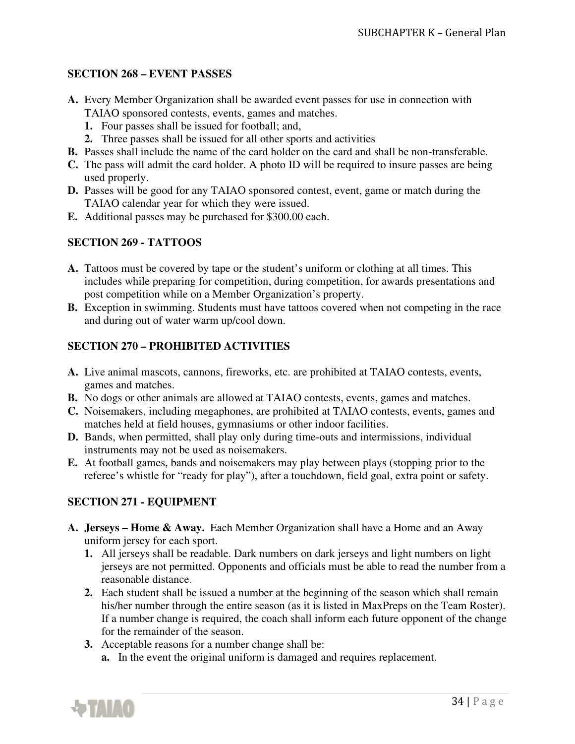### **SECTION 268 – EVENT PASSES**

- **A.** Every Member Organization shall be awarded event passes for use in connection with TAIAO sponsored contests, events, games and matches.
	- **1.** Four passes shall be issued for football; and,
	- **2.** Three passes shall be issued for all other sports and activities
- **B.** Passes shall include the name of the card holder on the card and shall be non-transferable.
- **C.** The pass will admit the card holder. A photo ID will be required to insure passes are being used properly.
- **D.** Passes will be good for any TAIAO sponsored contest, event, game or match during the TAIAO calendar year for which they were issued.
- **E.** Additional passes may be purchased for \$300.00 each.

### **SECTION 269 - TATTOOS**

- **A.** Tattoos must be covered by tape or the student's uniform or clothing at all times. This includes while preparing for competition, during competition, for awards presentations and post competition while on a Member Organization's property.
- **B.** Exception in swimming. Students must have tattoos covered when not competing in the race and during out of water warm up/cool down.

## **SECTION 270 – PROHIBITED ACTIVITIES**

- **A.** Live animal mascots, cannons, fireworks, etc. are prohibited at TAIAO contests, events, games and matches.
- **B.** No dogs or other animals are allowed at TAIAO contests, events, games and matches.
- **C.** Noisemakers, including megaphones, are prohibited at TAIAO contests, events, games and matches held at field houses, gymnasiums or other indoor facilities.
- **D.** Bands, when permitted, shall play only during time-outs and intermissions, individual instruments may not be used as noisemakers.
- **E.** At football games, bands and noisemakers may play between plays (stopping prior to the referee's whistle for "ready for play"), after a touchdown, field goal, extra point or safety.

## **SECTION 271 - EQUIPMENT**

- **A. Jerseys Home & Away.** Each Member Organization shall have a Home and an Away uniform jersey for each sport.
	- **1.** All jerseys shall be readable. Dark numbers on dark jerseys and light numbers on light jerseys are not permitted. Opponents and officials must be able to read the number from a reasonable distance.
	- **2.** Each student shall be issued a number at the beginning of the season which shall remain his/her number through the entire season (as it is listed in MaxPreps on the Team Roster). If a number change is required, the coach shall inform each future opponent of the change for the remainder of the season.
	- **3.** Acceptable reasons for a number change shall be:
		- **a.** In the event the original uniform is damaged and requires replacement.

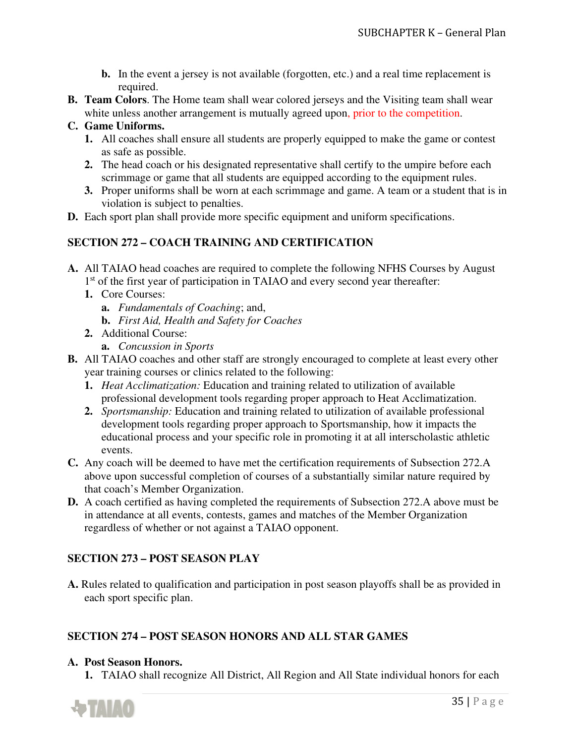- **b.** In the event a jersey is not available (forgotten, etc.) and a real time replacement is required.
- **B. Team Colors**. The Home team shall wear colored jerseys and the Visiting team shall wear white unless another arrangement is mutually agreed upon, prior to the competition.

### **C. Game Uniforms.**

- **1.** All coaches shall ensure all students are properly equipped to make the game or contest as safe as possible.
- **2.** The head coach or his designated representative shall certify to the umpire before each scrimmage or game that all students are equipped according to the equipment rules.
- **3.** Proper uniforms shall be worn at each scrimmage and game. A team or a student that is in violation is subject to penalties.
- **D.** Each sport plan shall provide more specific equipment and uniform specifications.

## **SECTION 272 – COACH TRAINING AND CERTIFICATION**

- **A.** All TAIAO head coaches are required to complete the following NFHS Courses by August 1<sup>st</sup> of the first year of participation in TAIAO and every second year thereafter:
	- **1.** Core Courses:
		- **a.** *Fundamentals of Coaching*; and,
		- **b.** *First Aid, Health and Safety for Coaches*
	- **2.** Additional Course:
		- **a.** *Concussion in Sports*
- **B.** All TAIAO coaches and other staff are strongly encouraged to complete at least every other year training courses or clinics related to the following:
	- **1.** *Heat Acclimatization:* Education and training related to utilization of available professional development tools regarding proper approach to Heat Acclimatization.
	- **2.** *Sportsmanship:* Education and training related to utilization of available professional development tools regarding proper approach to Sportsmanship, how it impacts the educational process and your specific role in promoting it at all interscholastic athletic events.
- **C.** Any coach will be deemed to have met the certification requirements of Subsection 272.A above upon successful completion of courses of a substantially similar nature required by that coach's Member Organization.
- **D.** A coach certified as having completed the requirements of Subsection 272.A above must be in attendance at all events, contests, games and matches of the Member Organization regardless of whether or not against a TAIAO opponent.

## **SECTION 273 – POST SEASON PLAY**

**A.** Rules related to qualification and participation in post season playoffs shall be as provided in each sport specific plan.

### **SECTION 274 – POST SEASON HONORS AND ALL STAR GAMES**

#### **A. Post Season Honors.**

**1.** TAIAO shall recognize All District, All Region and All State individual honors for each

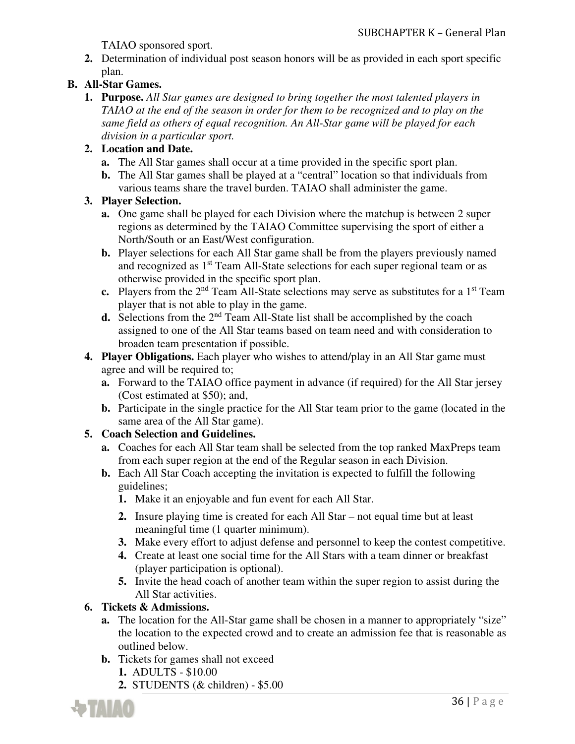TAIAO sponsored sport.

**2.** Determination of individual post season honors will be as provided in each sport specific plan.

## **B. All-Star Games.**

**1. Purpose.** *All Star games are designed to bring together the most talented players in TAIAO at the end of the season in order for them to be recognized and to play on the same field as others of equal recognition. An All-Star game will be played for each division in a particular sport.* 

## **2. Location and Date.**

- **a.** The All Star games shall occur at a time provided in the specific sport plan.
- **b.** The All Star games shall be played at a "central" location so that individuals from various teams share the travel burden. TAIAO shall administer the game.

### **3. Player Selection.**

- **a.** One game shall be played for each Division where the matchup is between 2 super regions as determined by the TAIAO Committee supervising the sport of either a North/South or an East/West configuration.
- **b.** Player selections for each All Star game shall be from the players previously named and recognized as 1<sup>st</sup> Team All-State selections for each super regional team or as otherwise provided in the specific sport plan.
- **c.** Players from the  $2<sup>nd</sup>$  Team All-State selections may serve as substitutes for a 1<sup>st</sup> Team player that is not able to play in the game.
- **d.** Selections from the 2<sup>nd</sup> Team All-State list shall be accomplished by the coach assigned to one of the All Star teams based on team need and with consideration to broaden team presentation if possible.
- **4. Player Obligations.** Each player who wishes to attend/play in an All Star game must agree and will be required to;
	- **a.** Forward to the TAIAO office payment in advance (if required) for the All Star jersey (Cost estimated at \$50); and,
	- **b.** Participate in the single practice for the All Star team prior to the game (located in the same area of the All Star game).

## **5. Coach Selection and Guidelines.**

- **a.** Coaches for each All Star team shall be selected from the top ranked MaxPreps team from each super region at the end of the Regular season in each Division.
- **b.** Each All Star Coach accepting the invitation is expected to fulfill the following guidelines;
	- **1.** Make it an enjoyable and fun event for each All Star.
	- **2.** Insure playing time is created for each All Star not equal time but at least meaningful time (1 quarter minimum).
	- **3.** Make every effort to adjust defense and personnel to keep the contest competitive.
	- **4.** Create at least one social time for the All Stars with a team dinner or breakfast (player participation is optional).
	- **5.** Invite the head coach of another team within the super region to assist during the All Star activities.

### **6. Tickets & Admissions.**

- **a.** The location for the All-Star game shall be chosen in a manner to appropriately "size" the location to the expected crowd and to create an admission fee that is reasonable as outlined below.
- **b.** Tickets for games shall not exceed
	- **1.** ADULTS \$10.00
	- **2.** STUDENTS (& children) \$5.00

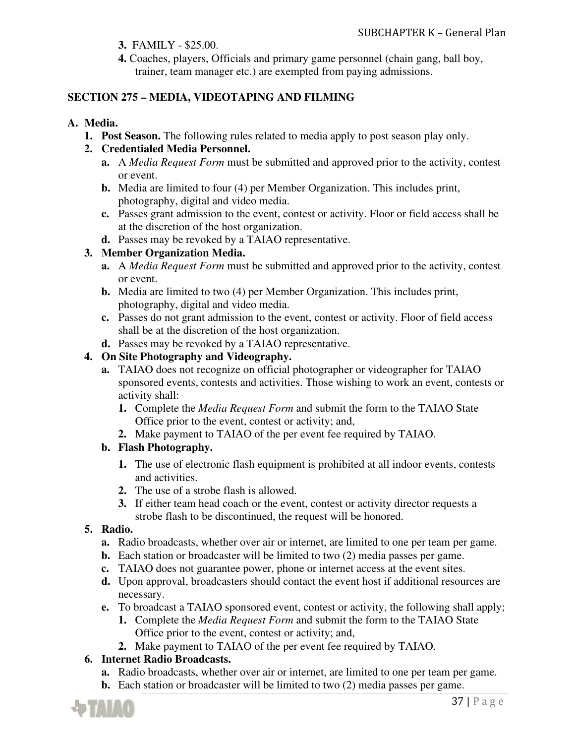- **3.** FAMILY \$25.00.
- **4.** Coaches, players, Officials and primary game personnel (chain gang, ball boy, trainer, team manager etc.) are exempted from paying admissions.

## **SECTION 275 – MEDIA, VIDEOTAPING AND FILMING**

## **A. Media.**

**1. Post Season.** The following rules related to media apply to post season play only.

## **2. Credentialed Media Personnel.**

- **a.** A *Media Request Form* must be submitted and approved prior to the activity, contest or event.
- **b.** Media are limited to four (4) per Member Organization. This includes print, photography, digital and video media.
- **c.** Passes grant admission to the event, contest or activity. Floor or field access shall be at the discretion of the host organization.
- **d.** Passes may be revoked by a TAIAO representative.

## **3. Member Organization Media.**

- **a.** A *Media Request Form* must be submitted and approved prior to the activity, contest or event.
- **b.** Media are limited to two (4) per Member Organization. This includes print, photography, digital and video media.
- **c.** Passes do not grant admission to the event, contest or activity. Floor of field access shall be at the discretion of the host organization.
- **d.** Passes may be revoked by a TAIAO representative.

## **4. On Site Photography and Videography.**

- **a.** TAIAO does not recognize on official photographer or videographer for TAIAO sponsored events, contests and activities. Those wishing to work an event, contests or activity shall:
	- **1.** Complete the *Media Request Form* and submit the form to the TAIAO State Office prior to the event, contest or activity; and,
	- **2.** Make payment to TAIAO of the per event fee required by TAIAO.

### **b. Flash Photography.**

- **1.** The use of electronic flash equipment is prohibited at all indoor events, contests and activities.
- **2.** The use of a strobe flash is allowed.
- **3.** If either team head coach or the event, contest or activity director requests a strobe flash to be discontinued, the request will be honored.

### **5. Radio.**

- **a.** Radio broadcasts, whether over air or internet, are limited to one per team per game.
- **b.** Each station or broadcaster will be limited to two (2) media passes per game.
- **c.** TAIAO does not guarantee power, phone or internet access at the event sites.
- **d.** Upon approval, broadcasters should contact the event host if additional resources are necessary.
- **e.** To broadcast a TAIAO sponsored event, contest or activity, the following shall apply;
	- **1.** Complete the *Media Request Form* and submit the form to the TAIAO State Office prior to the event, contest or activity; and,
	- **2.** Make payment to TAIAO of the per event fee required by TAIAO.

## **6. Internet Radio Broadcasts.**

- **a.** Radio broadcasts, whether over air or internet, are limited to one per team per game.
- **b.** Each station or broadcaster will be limited to two (2) media passes per game.

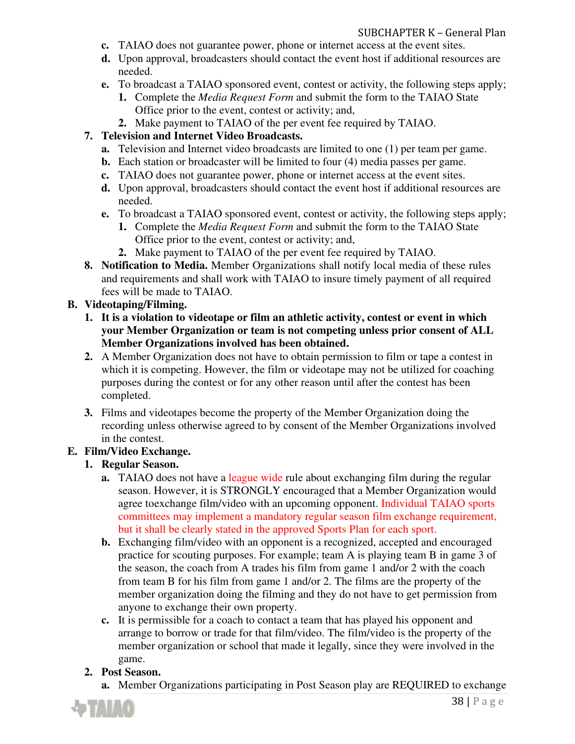- **c.** TAIAO does not guarantee power, phone or internet access at the event sites.
- **d.** Upon approval, broadcasters should contact the event host if additional resources are needed.
- **e.** To broadcast a TAIAO sponsored event, contest or activity, the following steps apply;
	- **1.** Complete the *Media Request Form* and submit the form to the TAIAO State Office prior to the event, contest or activity; and,
- **2.** Make payment to TAIAO of the per event fee required by TAIAO.

## **7. Television and Internet Video Broadcasts.**

- **a.** Television and Internet video broadcasts are limited to one (1) per team per game.
- **b.** Each station or broadcaster will be limited to four (4) media passes per game.
- **c.** TAIAO does not guarantee power, phone or internet access at the event sites.
- **d.** Upon approval, broadcasters should contact the event host if additional resources are needed.
- **e.** To broadcast a TAIAO sponsored event, contest or activity, the following steps apply;
	- **1.** Complete the *Media Request Form* and submit the form to the TAIAO State Office prior to the event, contest or activity; and,
	- **2.** Make payment to TAIAO of the per event fee required by TAIAO.
- **8. Notification to Media.** Member Organizations shall notify local media of these rules and requirements and shall work with TAIAO to insure timely payment of all required fees will be made to TAIAO.

## **B. Videotaping/Filming.**

- **1. It is a violation to videotape or film an athletic activity, contest or event in which your Member Organization or team is not competing unless prior consent of ALL Member Organizations involved has been obtained.**
- **2.** A Member Organization does not have to obtain permission to film or tape a contest in which it is competing. However, the film or videotape may not be utilized for coaching purposes during the contest or for any other reason until after the contest has been completed.
- **3.** Films and videotapes become the property of the Member Organization doing the recording unless otherwise agreed to by consent of the Member Organizations involved in the contest.

## **E. Film/Video Exchange.**

## **1. Regular Season.**

- **a.** TAIAO does not have a league wide rule about exchanging film during the regular season. However, it is STRONGLY encouraged that a Member Organization would agree to exchange film/video with an upcoming opponent. Individual TAIAO sports committees may implement a mandatory regular season film exchange requirement, but it shall be clearly stated in the approved Sports Plan for each sport.
- **b.** Exchanging film/video with an opponent is a recognized, accepted and encouraged practice for scouting purposes. For example; team A is playing team B in game 3 of the season, the coach from A trades his film from game 1 and/or 2 with the coach from team B for his film from game 1 and/or 2. The films are the property of the member organization doing the filming and they do not have to get permission from anyone to exchange their own property.
- **c.** It is permissible for a coach to contact a team that has played his opponent and arrange to borrow or trade for that film/video. The film/video is the property of the member organization or school that made it legally, since they were involved in the game.

## **2. Post Season.**

**a.** Member Organizations participating in Post Season play are REQUIRED to exchange

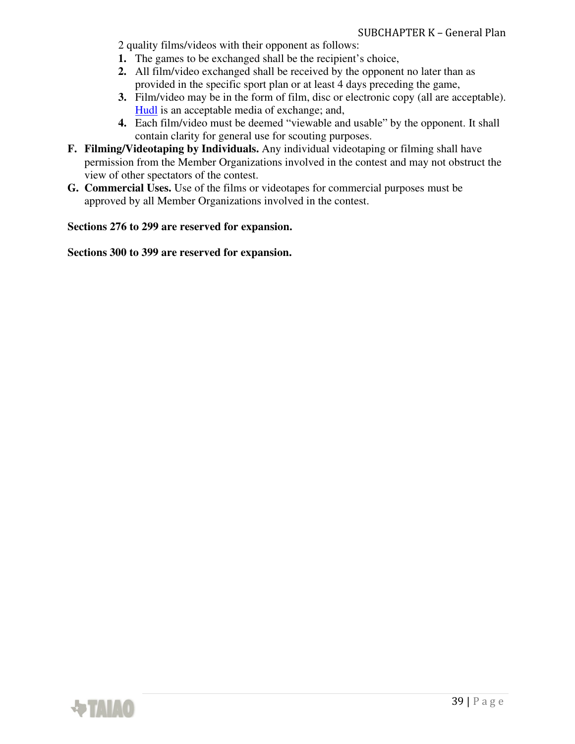- 2 quality films/videos with their opponent as follows:
- **1.** The games to be exchanged shall be the recipient's choice,
- **2.** All film/video exchanged shall be received by the opponent no later than as provided in the specific sport plan or at least 4 days preceding the game,
- **3.** Film/video may be in the form of film, disc or electronic copy (all are acceptable). Hudl is an acceptable media of exchange; and,
- **4.** Each film/video must be deemed "viewable and usable" by the opponent. It shall contain clarity for general use for scouting purposes.
- **F. Filming/Videotaping by Individuals.** Any individual videotaping or filming shall have permission from the Member Organizations involved in the contest and may not obstruct the view of other spectators of the contest.
- **G. Commercial Uses.** Use of the films or videotapes for commercial purposes must be approved by all Member Organizations involved in the contest.

**Sections 276 to 299 are reserved for expansion.** 

**Sections 300 to 399 are reserved for expansion.** 

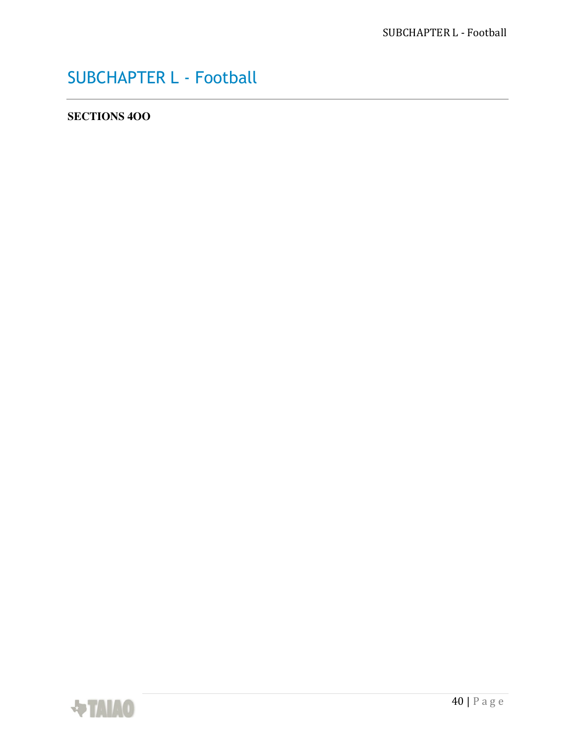## SUBCHAPTER L - Football

## **SECTIONS 4OO**

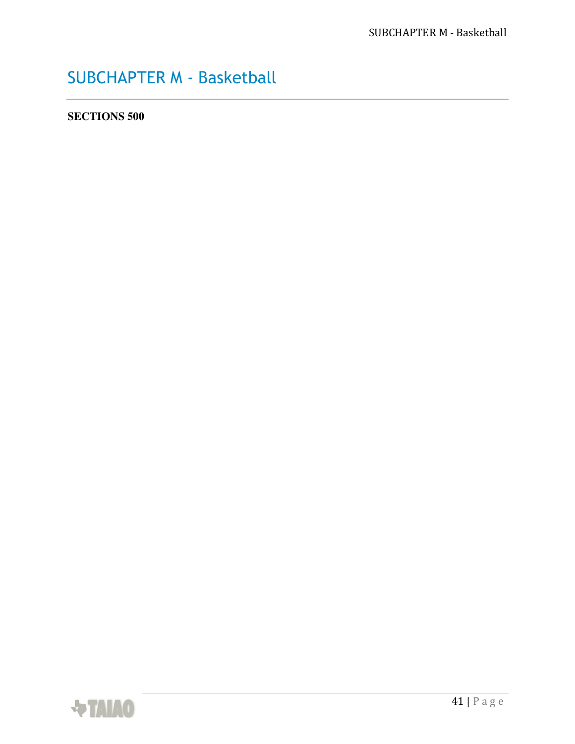## SUBCHAPTER M - Basketball

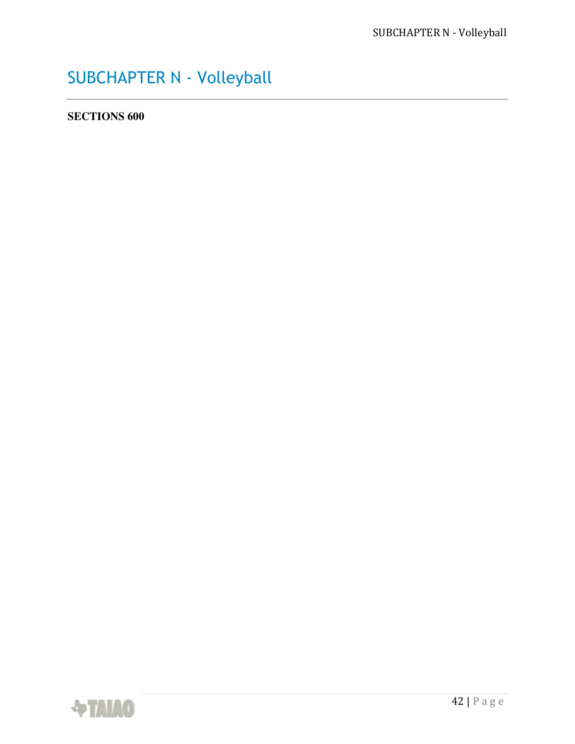# SUBCHAPTER N - Volleyball

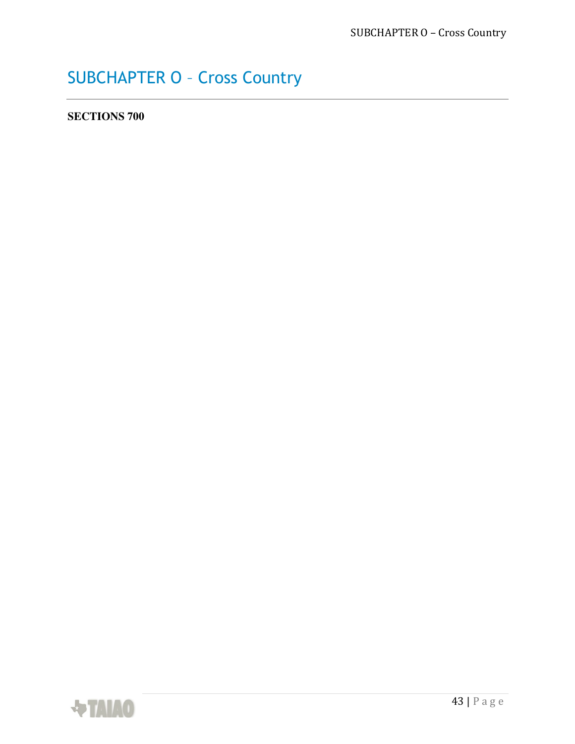## SUBCHAPTER O – Cross Country

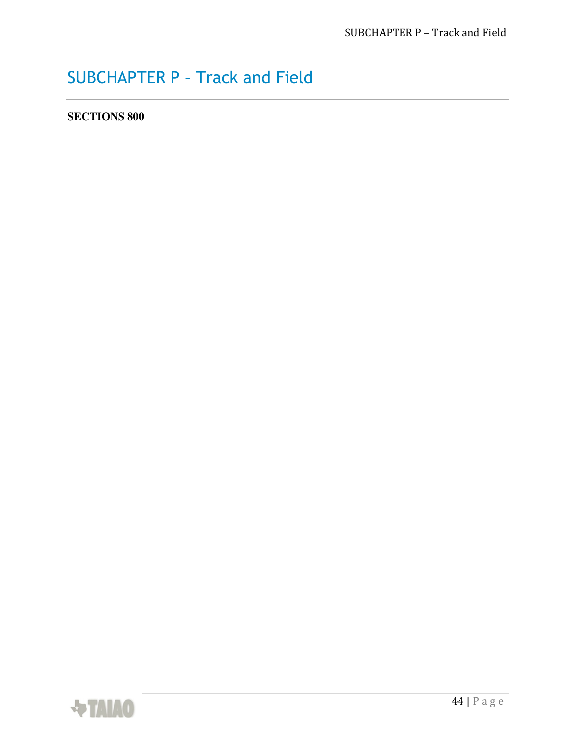## SUBCHAPTER P – Track and Field

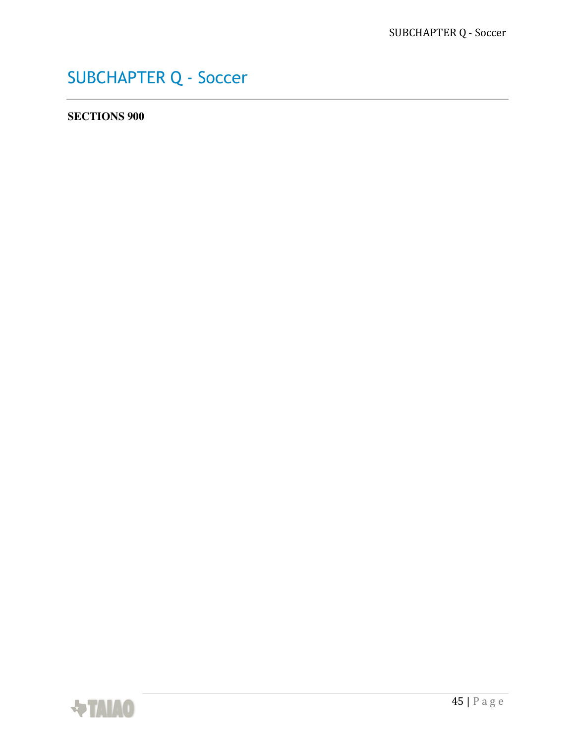## SUBCHAPTER Q - Soccer

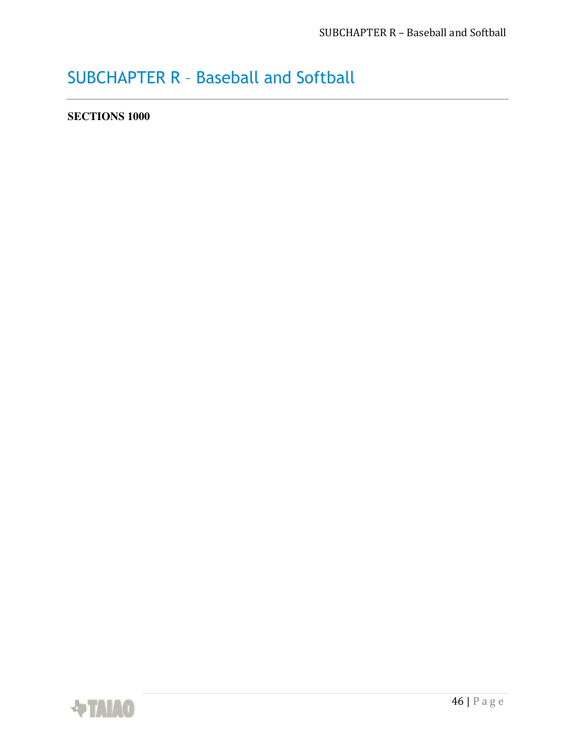## SUBCHAPTER R – Baseball and Softball

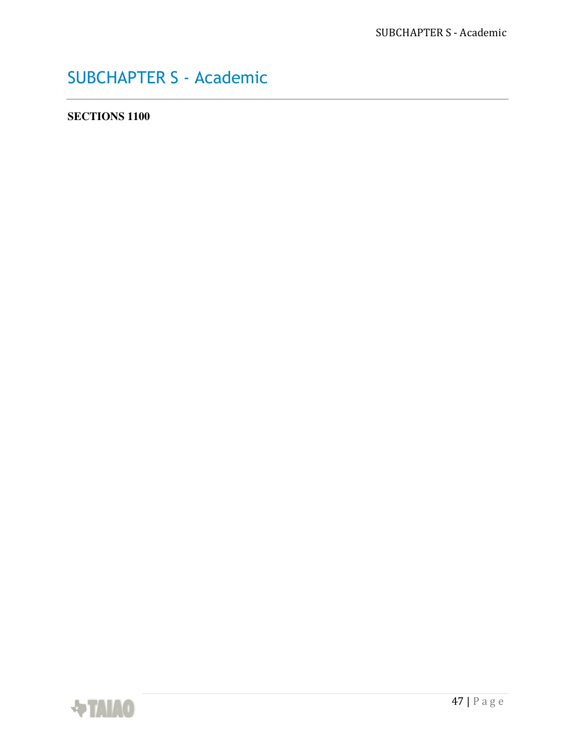## SUBCHAPTER S - Academic

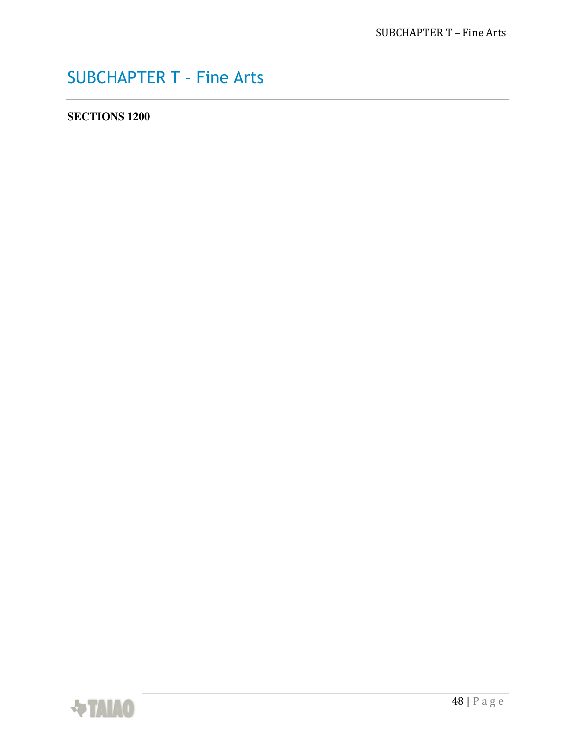## SUBCHAPTER T – Fine Arts